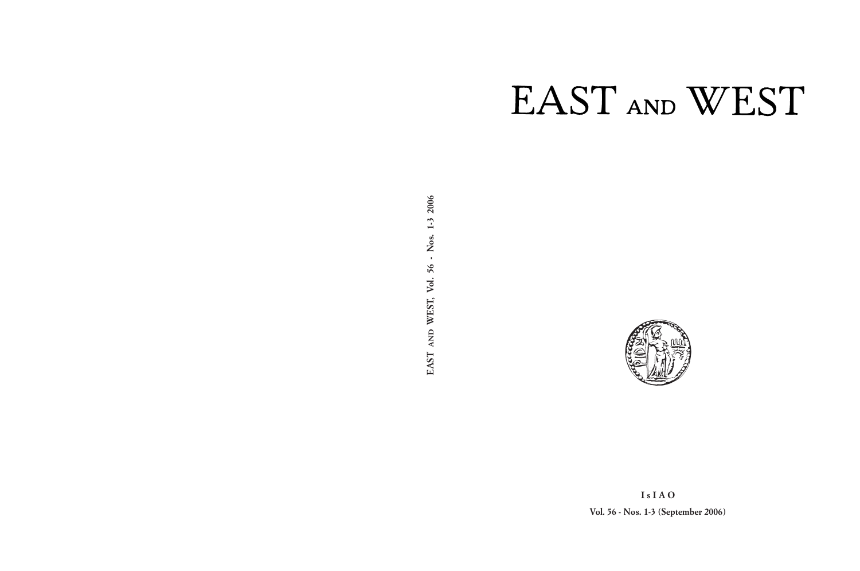# EAST AND WEST



**I s I A O Vol. 56 - Nos. 1-3 (September 2006)**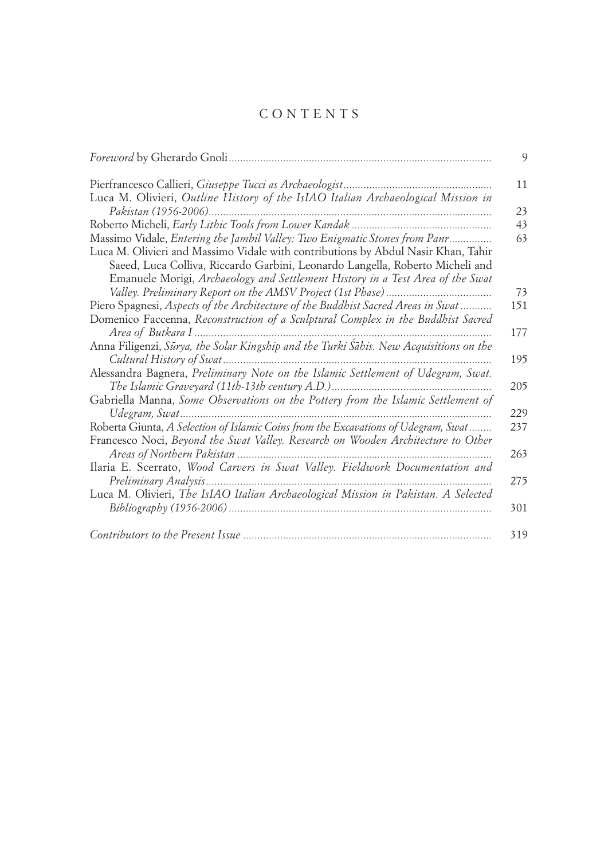# C O N T E N T S

|                                                                                                                                                                                                                                                                                                                                    | 9   |
|------------------------------------------------------------------------------------------------------------------------------------------------------------------------------------------------------------------------------------------------------------------------------------------------------------------------------------|-----|
|                                                                                                                                                                                                                                                                                                                                    | 11  |
| Luca M. Olivieri, Outline History of the IsIAO Italian Archaeological Mission in                                                                                                                                                                                                                                                   |     |
|                                                                                                                                                                                                                                                                                                                                    | 23  |
|                                                                                                                                                                                                                                                                                                                                    | 43  |
| Massimo Vidale, Entering the Jambil Valley: Two Enigmatic Stones from Panr<br>Luca M. Olivieri and Massimo Vidale with contributions by Abdul Nasir Khan, Tahir<br>Saeed, Luca Colliva, Riccardo Garbini, Leonardo Langella, Roberto Micheli and<br>Emanuele Morigi, Archaeology and Settlement History in a Test Area of the Swat | 63  |
|                                                                                                                                                                                                                                                                                                                                    | 73  |
| Piero Spagnesi, Aspects of the Architecture of the Buddhist Sacred Areas in Swat                                                                                                                                                                                                                                                   | 151 |
| Domenico Faccenna, Reconstruction of a Sculptural Complex in the Buddhist Sacred                                                                                                                                                                                                                                                   |     |
|                                                                                                                                                                                                                                                                                                                                    | 177 |
| Anna Filigenzi, Sūrya, the Solar Kingship and the Turki Śāhis. New Acquisitions on the                                                                                                                                                                                                                                             | 195 |
| Alessandra Bagnera, Preliminary Note on the Islamic Settlement of Udegram, Swat.                                                                                                                                                                                                                                                   | 205 |
| Gabriella Manna, Some Observations on the Pottery from the Islamic Settlement of                                                                                                                                                                                                                                                   | 229 |
| Roberta Giunta, A Selection of Islamic Coins from the Excavations of Udegram, Swat                                                                                                                                                                                                                                                 | 237 |
| Francesco Noci, Beyond the Swat Valley. Research on Wooden Architecture to Other                                                                                                                                                                                                                                                   | 263 |
| Ilaria E. Scerrato, Wood Carvers in Swat Valley. Fieldwork Documentation and                                                                                                                                                                                                                                                       | 275 |
| Luca M. Olivieri, The IsIAO Italian Archaeological Mission in Pakistan. A Selected                                                                                                                                                                                                                                                 | 301 |
|                                                                                                                                                                                                                                                                                                                                    | 319 |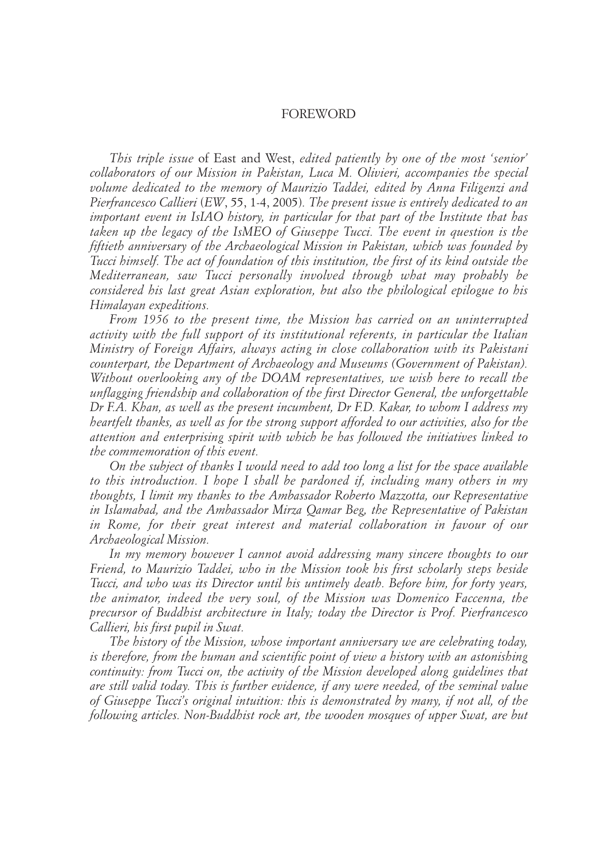# FOREWORD

*This triple issue* of East and West, *edited patiently by one of the most 'senior' collaborators of our Mission in Pakistan, Luca M. Olivieri, accompanies the special volume dedicated to the memory of Maurizio Taddei, edited by Anna Filigenzi and Pierfrancesco Callieri* (*EW*, 55, 1-4, 2005)*. The present issue is entirely dedicated to an important event in IsIAO history, in particular for that part of the Institute that has taken up the legacy of the IsMEO of Giuseppe Tucci. The event in question is the fiftieth anniversary of the Archaeological Mission in Pakistan, which was founded by Tucci himself. The act of foundation of this institution, the first of its kind outside the Mediterranean, saw Tucci personally involved through what may probably be considered his last great Asian exploration, but also the philological epilogue to his Himalayan expeditions.* 

*From 1956 to the present time, the Mission has carried on an uninterrupted activity with the full support of its institutional referents, in particular the Italian Ministry of Foreign Affairs, always acting in close collaboration with its Pakistani counterpart, the Department of Archaeology and Museums (Government of Pakistan). Without overlooking any of the DOAM representatives, we wish here to recall the unflagging friendship and collaboration of the first Director General, the unforgettable Dr F.A. Khan, as well as the present incumbent, Dr F.D. Kakar, to whom I address my heartfelt thanks, as well as for the strong support afforded to our activities, also for the attention and enterprising spirit with which he has followed the initiatives linked to the commemoration of this event.* 

*On the subject of thanks I would need to add too long a list for the space available to this introduction. I hope I shall be pardoned if, including many others in my thoughts, I limit my thanks to the Ambassador Roberto Mazzotta, our Representative in Islamabad, and the Ambassador Mirza Qamar Beg, the Representative of Pakistan in Rome, for their great interest and material collaboration in favour of our Archaeological Mission.* 

*In my memory however I cannot avoid addressing many sincere thoughts to our Friend, to Maurizio Taddei, who in the Mission took his first scholarly steps beside Tucci, and who was its Director until his untimely death. Before him, for forty years, the animator, indeed the very soul, of the Mission was Domenico Faccenna, the precursor of Buddhist architecture in Italy; today the Director is Prof. Pierfrancesco Callieri, his first pupil in Swat.* 

*The history of the Mission, whose important anniversary we are celebrating today, is therefore, from the human and scientific point of view a history with an astonishing continuity: from Tucci on, the activity of the Mission developed along guidelines that are still valid today. This is further evidence, if any were needed, of the seminal value of Giuseppe Tucci's original intuition: this is demonstrated by many, if not all, of the following articles. Non-Buddhist rock art, the wooden mosques of upper Swat, are but*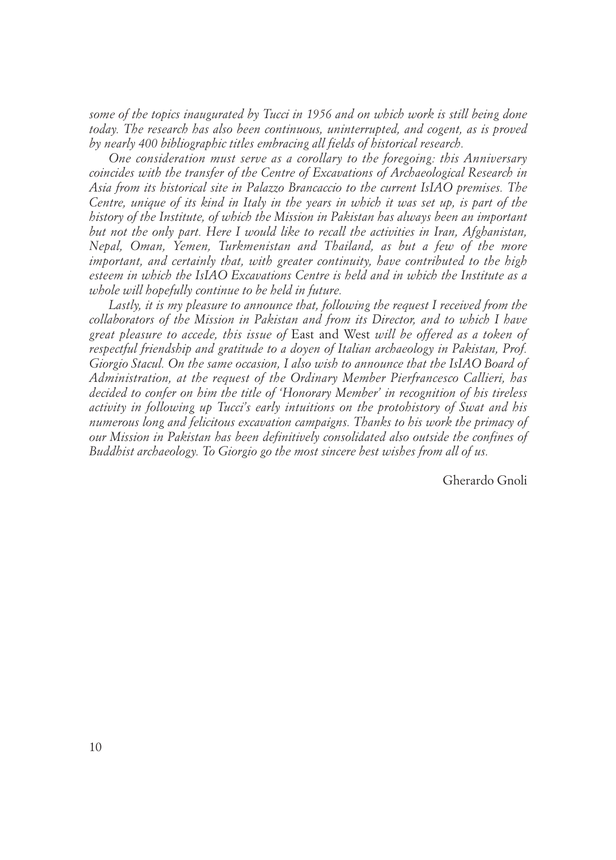*some of the topics inaugurated by Tucci in 1956 and on which work is still being done today. The research has also been continuous, uninterrupted, and cogent, as is proved by nearly 400 bibliographic titles embracing all fields of historical research.*

*One consideration must serve as a corollary to the foregoing: this Anniversary coincides with the transfer of the Centre of Excavations of Archaeological Research in Asia from its historical site in Palazzo Brancaccio to the current IsIAO premises. The Centre, unique of its kind in Italy in the years in which it was set up, is part of the history of the Institute, of which the Mission in Pakistan has always been an important but not the only part. Here I would like to recall the activities in Iran, Afghanistan, Nepal, Oman, Yemen, Turkmenistan and Thailand, as but a few of the more important, and certainly that, with greater continuity, have contributed to the high esteem in which the IsIAO Excavations Centre is held and in which the Institute as a whole will hopefully continue to be held in future.*

*Lastly, it is my pleasure to announce that, following the request I received from the collaborators of the Mission in Pakistan and from its Director, and to which I have great pleasure to accede, this issue of* East and West *will be offered as a token of respectful friendship and gratitude to a doyen of Italian archaeology in Pakistan, Prof. Giorgio Stacul. On the same occasion, I also wish to announce that the IsIAO Board of Administration, at the request of the Ordinary Member Pierfrancesco Callieri, has decided to confer on him the title of 'Honorary Member' in recognition of his tireless activity in following up Tucci's early intuitions on the protohistory of Swat and his numerous long and felicitous excavation campaigns. Thanks to his work the primacy of our Mission in Pakistan has been definitively consolidated also outside the confines of Buddhist archaeology. To Giorgio go the most sincere best wishes from all of us.*

Gherardo Gnoli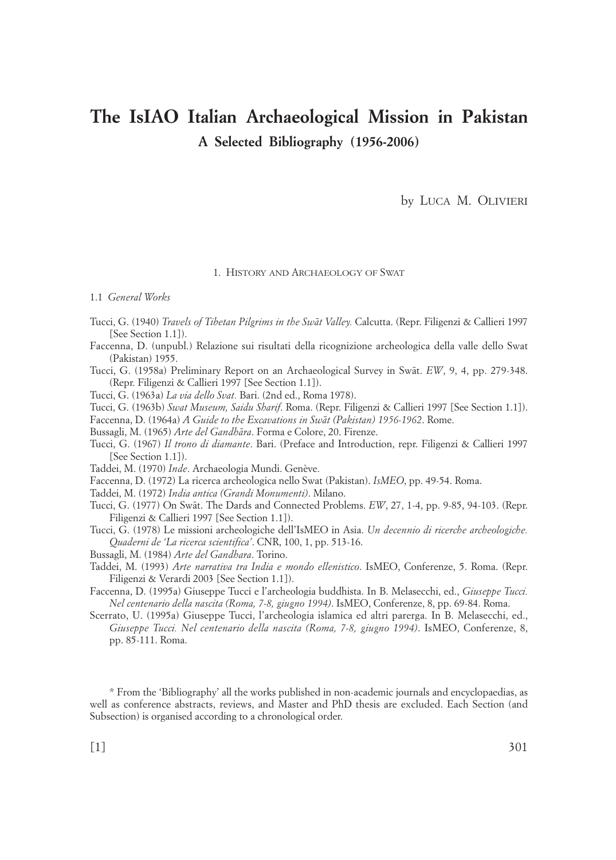# **The IsIAO Italian Archaeological Mission in Pakistan A Selected Bibliography (1956-2006)**

by LUCA M. OLIVIERI

1. HISTORY AND ARCHAEOLOGY OF SWAT

1.1 *General Works*

- Tucci, G. (1940) *Travels of Tibetan Pilgrims in the Swåt Valley.* Calcutta. (Repr. Filigenzi & Callieri 1997 [See Section 1.1]).
- Faccenna, D. (unpubl.) Relazione sui risultati della ricognizione archeologica della valle dello Swat (Pakistan) 1955.
- Tucci, G. (1958a) Preliminary Report on an Archaeological Survey in Swåt. *EW*, 9, 4, pp. 279-348. (Repr. Filigenzi & Callieri 1997 [See Section 1.1]).

Tucci, G. (1963a) *La via dello Svat.* Bari. (2nd ed., Roma 1978).

Tucci, G. (1963b) *Swat Museum, Saidu Sharif*. Roma. (Repr. Filigenzi & Callieri 1997 [See Section 1.1]).

Faccenna, D. (1964a) *A Guide to the Excavations in Swåt (Pakistan) 1956-1962*. Rome.

Bussagli, M. (1965) *Arte del Gandhåra*. Forma e Colore, 20. Firenze.

Tucci, G. (1967) *Il trono di diamante*. Bari. (Preface and Introduction, repr. Filigenzi & Callieri 1997 [See Section 1.1]).

Taddei, M. (1970) *Inde*. Archaeologia Mundi. Genève.

Faccenna, D. (1972) La ricerca archeologica nello Swat (Pakistan). *IsMEO*, pp. 49-54. Roma.

Taddei, M. (1972) *India antica (Grandi Monumenti)*. Milano.

Tucci, G. (1977) On Swåt. The Dards and Connected Problems. *EW*, 27, 1-4, pp. 9-85, 94-103. (Repr. Filigenzi & Callieri 1997 [See Section 1.1]).

Tucci, G. (1978) Le missioni archeologiche dell'IsMEO in Asia. *Un decennio di ricerche archeologiche. Quaderni de 'La ricerca scientifica'*. CNR, 100, 1, pp. 513-16.

Bussagli, M. (1984) *Arte del Gandhara*. Torino.

- Taddei, M. (1993) *Arte narrativa tra India e mondo ellenistico*. IsMEO, Conferenze, 5. Roma. (Repr. Filigenzi & Verardi 2003 [See Section 1.1]).
- Faccenna, D. (1995a) Giuseppe Tucci e l'archeologia buddhista. In B. Melasecchi, ed., *Giuseppe Tucci. Nel centenario della nascita (Roma, 7-8, giugno 1994)*. IsMEO, Conferenze, 8, pp. 69-84. Roma.
- Scerrato, U. (1995a) Giuseppe Tucci, l'archeologia islamica ed altri parerga. In B. Melasecchi, ed., *Giuseppe Tucci. Nel centenario della nascita (Roma, 7-8, giugno 1994)*. IsMEO, Conferenze, 8, pp. 85-111. Roma.

\* From the 'Bibliography' all the works published in non-academic journals and encyclopaedias, as well as conference abstracts, reviews, and Master and PhD thesis are excluded. Each Section (and Subsection) is organised according to a chronological order.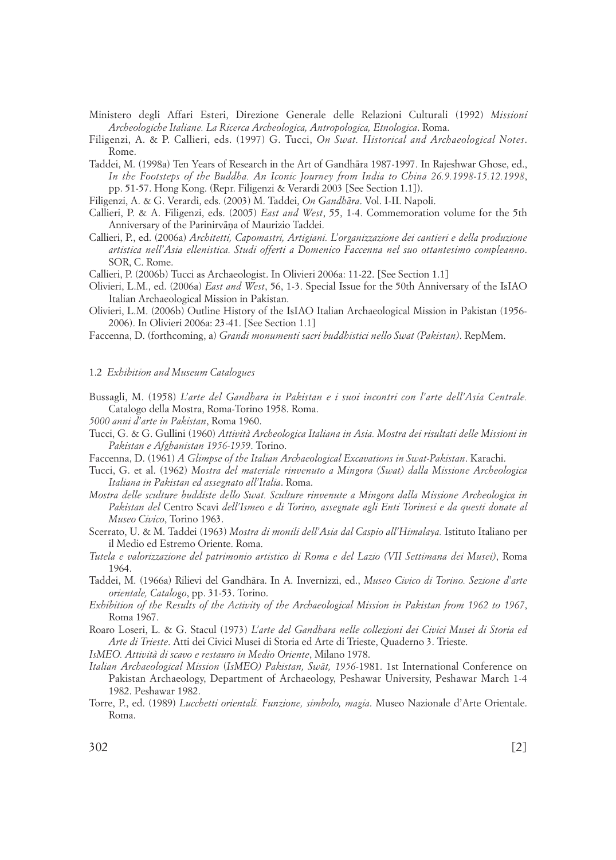- Ministero degli Affari Esteri, Direzione Generale delle Relazioni Culturali (1992) *Missioni Archeologiche Italiane. La Ricerca Archeologica, Antropologica, Etnologica*. Roma.
- Filigenzi, A. & P. Callieri, eds. (1997) G. Tucci, *On Swat. Historical and Archaeological Notes*. Rome.
- Taddei, M. (1998a) Ten Years of Research in the Art of Gandhåra 1987-1997. In Rajeshwar Ghose, ed., *In the Footsteps of the Buddha. An Iconic Journey from India to China 26.9.1998-15.12.1998*, pp. 51-57. Hong Kong. (Repr. Filigenzi & Verardi 2003 [See Section 1.1]).
- Filigenzi, A. & G. Verardi, eds. (2003) M. Taddei, *On Gandhåra*. Vol. I-II. Napoli.
- Callieri, P. & A. Filigenzi, eds. (2005) *East and West*, 55, 1-4. Commemoration volume for the 5th Anniversary of the Parinirvāna of Maurizio Taddei.
- Callieri, P., ed. (2006a) *Architetti, Capomastri, Artigiani. L'organizzazione dei cantieri e della produzione artistica nell'Asia ellenistica. Studi offerti a Domenico Faccenna nel suo ottantesimo compleanno*. SOR, C. Rome.
- Callieri, P. (2006b) Tucci as Archaeologist. In Olivieri 2006a: 11-22. [See Section 1.1]
- Olivieri, L.M., ed. (2006a) *East and West*, 56, 1-3. Special Issue for the 50th Anniversary of the IsIAO Italian Archaeological Mission in Pakistan.
- Olivieri, L.M. (2006b) Outline History of the IsIAO Italian Archaeological Mission in Pakistan (1956- 2006). In Olivieri 2006a: 23-41. [See Section 1.1]
- Faccenna, D. (forthcoming, a) *Grandi monumenti sacri buddhistici nello Swat (Pakistan)*. RepMem.

#### 1.2 *Exhibition and Museum Catalogues*

- Bussagli, M. (1958) *L'arte del Gandhara in Pakistan e i suoi incontri con l'arte dell'Asia Centrale.* Catalogo della Mostra, Roma-Torino 1958. Roma.
- *5000 anni d'arte in Pakistan*, Roma 1960.
- Tucci, G. & G. Gullini (1960) *Attività Archeologica Italiana in Asia. Mostra dei risultati delle Missioni in Pakistan e Afghanistan 1956-1959*. Torino.
- Faccenna, D. (1961) *A Glimpse of the Italian Archaeological Excavations in Swat-Pakistan*. Karachi.
- Tucci, G. et al. (1962) *Mostra del materiale rinvenuto a Mingora (Swat) dalla Missione Archeologica Italiana in Pakistan ed assegnato all'Italia*. Roma.
- *Mostra delle sculture buddiste dello Swat. Sculture rinvenute a Mingora dalla Missione Archeologica in Pakistan del* Centro Scavi *dell'Ismeo e di Torino, assegnate agli Enti Torinesi e da questi donate al Museo Civico*, Torino 1963.
- Scerrato, U. & M. Taddei (1963) *Mostra di monili dell'Asia dal Caspio all'Himalaya.* Istituto Italiano per il Medio ed Estremo Oriente. Roma.
- *Tutela e valorizzazione del patrimonio artistico di Roma e del Lazio (VII Settimana dei Musei)*, Roma 1964.
- Taddei, M. (1966a) Rilievi del Gandhåra. In A. Invernizzi, ed., *Museo Civico di Torino. Sezione d'arte orientale, Catalogo*, pp. 31-53. Torino.
- *Exhibition of the Results of the Activity of the Archaeological Mission in Pakistan from 1962 to 1967*, Roma 1967.
- Roaro Loseri, L. & G. Stacul (1973) *L'arte del Gandhara nelle collezioni dei Civici Musei di Storia ed Arte di Trieste*. Atti dei Civici Musei di Storia ed Arte di Trieste, Quaderno 3. Trieste.

*IsMEO. Attività di scavo e restauro in Medio Oriente*, Milano 1978.

- *Italian Archaeological Mission* (*IsMEO) Pakistan, Swåt, 1956-*1981. 1st International Conference on Pakistan Archaeology, Department of Archaeology, Peshawar University, Peshawar March 1-4 1982. Peshawar 1982.
- Torre, P., ed. (1989) *Lucchetti orientali. Funzione, simbolo, magia*. Museo Nazionale d'Arte Orientale. Roma.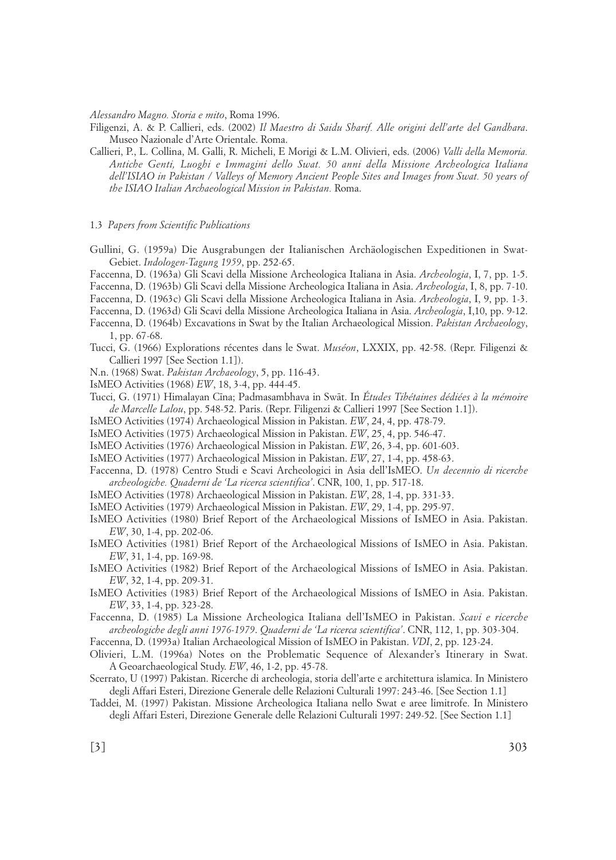*Alessandro Magno. Storia e mito*, Roma 1996.

Filigenzi, A. & P. Callieri, eds. (2002) *Il Maestro di Saidu Sharif. Alle origini dell'arte del Gandhara*. Museo Nazionale d'Arte Orientale. Roma.

Callieri, P., L. Collina, M. Galli, R. Micheli, E Morigi & L.M. Olivieri, eds. (2006) *Valli della Memoria. Antiche Genti, Luoghi e Immagini dello Swat. 50 anni della Missione Archeologica Italiana dell'ISIAO in Pakistan / Valleys of Memory Ancient People Sites and Images from Swat. 50 years of the ISIAO Italian Archaeological Mission in Pakistan.* Roma.

#### 1.3 *Papers from Scientific Publications*

- Gullini, G. (1959a) Die Ausgrabungen der Italianischen Archäologischen Expeditionen in Swat-Gebiet. *Indologen-Tagung 1959*, pp. 252-65.
- Faccenna, D. (1963a) Gli Scavi della Missione Archeologica Italiana in Asia. *Archeologia*, I, 7, pp. 1-5.
- Faccenna, D. (1963b) Gli Scavi della Missione Archeologica Italiana in Asia. *Archeologia*, I, 8, pp. 7-10.
- Faccenna, D. (1963c) Gli Scavi della Missione Archeologica Italiana in Asia. *Archeologia*, I, 9, pp. 1-3.
- Faccenna, D. (1963d) Gli Scavi della Missione Archeologica Italiana in Asia. *Archeologia*, I,10, pp. 9-12.
- Faccenna, D. (1964b) Excavations in Swat by the Italian Archaeological Mission. *Pakistan Archaeology*, 1, pp. 67-68.
- Tucci, G. (1966) Explorations récentes dans le Swat. *Muséon*, LXXIX, pp. 42-58. (Repr. Filigenzi & Callieri 1997 [See Section 1.1]).
- N.n. (1968) Swat. *Pakistan Archaeology*, 5, pp. 116-43.
- IsMEO Activities (1968) *EW*, 18, 3-4, pp. 444-45.
- Tucci, G. (1971) Himalayan Cīna; Padmasambhava in Swāt. In Études Tibétaines dédiées à la mémoire *de Marcelle Lalou*, pp. 548-52. Paris. (Repr. Filigenzi & Callieri 1997 [See Section 1.1]).
- IsMEO Activities (1974) Archaeological Mission in Pakistan. *EW*, 24, 4, pp. 478-79.
- IsMEO Activities (1975) Archaeological Mission in Pakistan. *EW*, 25, 4, pp. 546-47.
- IsMEO Activities (1976) Archaeological Mission in Pakistan. *EW*, 26, 3-4, pp. 601-603.
- IsMEO Activities (1977) Archaeological Mission in Pakistan. *EW*, 27, 1-4, pp. 458-63.
- Faccenna, D. (1978) Centro Studi e Scavi Archeologici in Asia dell'IsMEO. *Un decennio di ricerche archeologiche. Quaderni de 'La ricerca scientifica'*. CNR, 100, 1, pp. 517-18.
- IsMEO Activities (1978) Archaeological Mission in Pakistan. *EW*, 28, 1-4, pp. 331-33.
- IsMEO Activities (1979) Archaeological Mission in Pakistan. *EW*, 29, 1-4, pp. 295-97.
- IsMEO Activities (1980) Brief Report of the Archaeological Missions of IsMEO in Asia. Pakistan. *EW*, 30, 1-4, pp. 202-06.
- IsMEO Activities (1981) Brief Report of the Archaeological Missions of IsMEO in Asia. Pakistan. *EW*, 31, 1-4, pp. 169-98.
- IsMEO Activities (1982) Brief Report of the Archaeological Missions of IsMEO in Asia. Pakistan. *EW*, 32, 1-4, pp. 209-31.
- IsMEO Activities (1983) Brief Report of the Archaeological Missions of IsMEO in Asia. Pakistan. *EW*, 33, 1-4, pp. 323-28.
- Faccenna, D. (1985) La Missione Archeologica Italiana dell'IsMEO in Pakistan. *Scavi e ricerche archeologiche degli anni 1976-1979*. *Quaderni de 'La ricerca scientifica'*. CNR, 112, 1, pp. 303-304.

Faccenna, D. (1993a) Italian Archaeological Mission of IsMEO in Pakistan. *VDI*, 2, pp. 123-24.

- Olivieri, L.M. (1996a) Notes on the Problematic Sequence of Alexander's Itinerary in Swat. A Geoarchaeological Study. *EW*, 46, 1-2, pp. 45-78.
- Scerrato, U (1997) Pakistan. Ricerche di archeologia, storia dell'arte e architettura islamica. In Ministero degli Affari Esteri, Direzione Generale delle Relazioni Culturali 1997: 243-46. [See Section 1.1]
- Taddei, M. (1997) Pakistan. Missione Archeologica Italiana nello Swat e aree limitrofe. In Ministero degli Affari Esteri, Direzione Generale delle Relazioni Culturali 1997: 249-52. [See Section 1.1]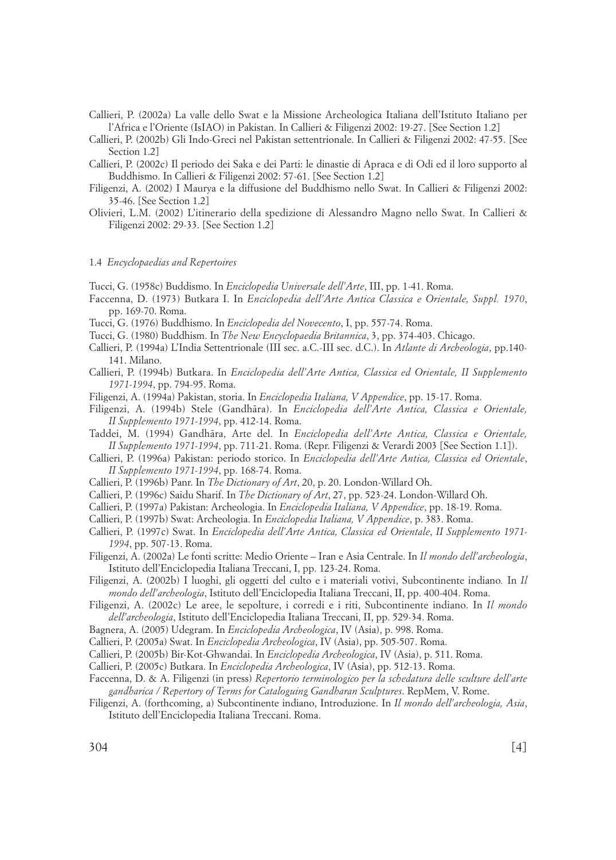Callieri, P. (2002a) La valle dello Swat e la Missione Archeologica Italiana dell'Istituto Italiano per l'Africa e l'Oriente (IsIAO) in Pakistan. In Callieri & Filigenzi 2002: 19-27. [See Section 1.2]

Callieri, P. (2002b) Gli Indo-Greci nel Pakistan settentrionale. In Callieri & Filigenzi 2002: 47-55. [See Section 1.2]

- Callieri, P. (2002c) Il periodo dei Saka e dei Parti: le dinastie di Apraca e di Odi ed il loro supporto al Buddhismo. In Callieri & Filigenzi 2002: 57-61. [See Section 1.2]
- Filigenzi, A. (2002) I Maurya e la diffusione del Buddhismo nello Swat. In Callieri & Filigenzi 2002: 35-46. [See Section 1.2]
- Olivieri, L.M. (2002) L'itinerario della spedizione di Alessandro Magno nello Swat. In Callieri & Filigenzi 2002: 29-33. [See Section 1.2]

#### 1.4 *Encyclopaedias and Repertoires*

Tucci, G. (1958c) Buddismo. In *Enciclopedia Universale dell'Arte*, III, pp. 1-41. Roma.

- Faccenna, D. (1973) Butkara I. In *Enciclopedia dell'Arte Antica Classica e Orientale, Suppl. 1970*, pp. 169-70. Roma.
- Tucci, G. (1976) Buddhismo. In *Enciclopedia del Novecento*, I, pp. 557-74. Roma.
- Tucci, G. (1980) Buddhism. In *The New Encyclopaedia Britannica*, 3, pp. 374-403. Chicago.
- Callieri, P. (1994a) L'India Settentrionale (III sec. a.C.-III sec. d.C.). In *Atlante di Archeologia*, pp.140- 141. Milano.
- Callieri, P. (1994b) Butkara. In *Enciclopedia dell'Arte Antica, Classica ed Orientale, II Supplemento 1971-1994*, pp. 794-95. Roma.
- Filigenzi, A. (1994a) Pakistan, storia. In *Enciclopedia Italiana, V Appendice*, pp. 15-17. Roma.
- Filigenzi, A. (1994b) Stele (Gandhåra). In *Enciclopedia dell'Arte Antica, Classica e Orientale, II Supplemento 1971-1994*, pp. 412-14. Roma.
- Taddei, M. (1994) Gandhåra, Arte del. In *Enciclopedia dell'Arte Antica, Classica e Orientale, II Supplemento 1971-1994*, pp. 711-21. Roma. (Repr. Filigenzi & Verardi 2003 [See Section 1.1]).
- Callieri, P. (1996a) Pakistan: periodo storico. In *Enciclopedia dell'Arte Antica, Classica ed Orientale*, *II Supplemento 1971-1994*, pp. 168-74. Roma.
- Callieri, P. (1996b) Panr. In *The Dictionary of Art*, 20, p. 20. London-Willard Oh.
- Callieri, P. (1996c) Saidu Sharif. In *The Dictionary of Art*, 27, pp. 523-24. London-Willard Oh.
- Callieri, P. (1997a) Pakistan: Archeologia. In *Enciclopedia Italiana, V Appendice*, pp. 18-19. Roma.
- Callieri, P. (1997b) Swat: Archeologia. In *Enciclopedia Italiana, V Appendice*, p. 383. Roma.
- Callieri, P. (1997c) Swat. In *Enciclopedia dell'Arte Antica, Classica ed Orientale*, *II Supplemento 1971- 1994*, pp. 507-13. Roma.
- Filigenzi, A. (2002a) Le fonti scritte: Medio Oriente Iran e Asia Centrale. In *Il mondo dell'archeologia*, Istituto dell'Enciclopedia Italiana Treccani, I, pp. 123-24. Roma.
- Filigenzi, A. (2002b) I luoghi, gli oggetti del culto e i materiali votivi, Subcontinente indiano*.* In *Il mondo dell'archeologia*, Istituto dell'Enciclopedia Italiana Treccani, II, pp. 400-404. Roma.
- Filigenzi, A. (2002c) Le aree, le sepolture, i corredi e i riti, Subcontinente indiano. In *Il mondo dell'archeologia*, Istituto dell'Enciclopedia Italiana Treccani, II, pp. 529-34. Roma.
- Bagnera, A. (2005) Udegram. In *Enciclopedia Archeologica*, IV (Asia), p. 998. Roma.
- Callieri, P. (2005a) Swat. In *Enciclopedia Archeologica*, IV (Asia), pp. 505-507. Roma.
- Callieri, P. (2005b) Bir-Kot-Ghwandai. In *Enciclopedia Archeologica*, IV (Asia), p. 511. Roma.
- Callieri, P. (2005c) Butkara. In *Enciclopedia Archeologica*, IV (Asia), pp. 512-13. Roma.
- Faccenna, D. & A. Filigenzi (in press) *Repertorio terminologico per la schedatura delle sculture dell'arte gandharica / Repertory of Terms for Cataloguing Gandharan Sculptures*. RepMem, V. Rome.
- Filigenzi, A. (forthcoming, a) Subcontinente indiano, Introduzione. In *Il mondo dell'archeologia, Asia*, Istituto dell'Enciclopedia Italiana Treccani. Roma.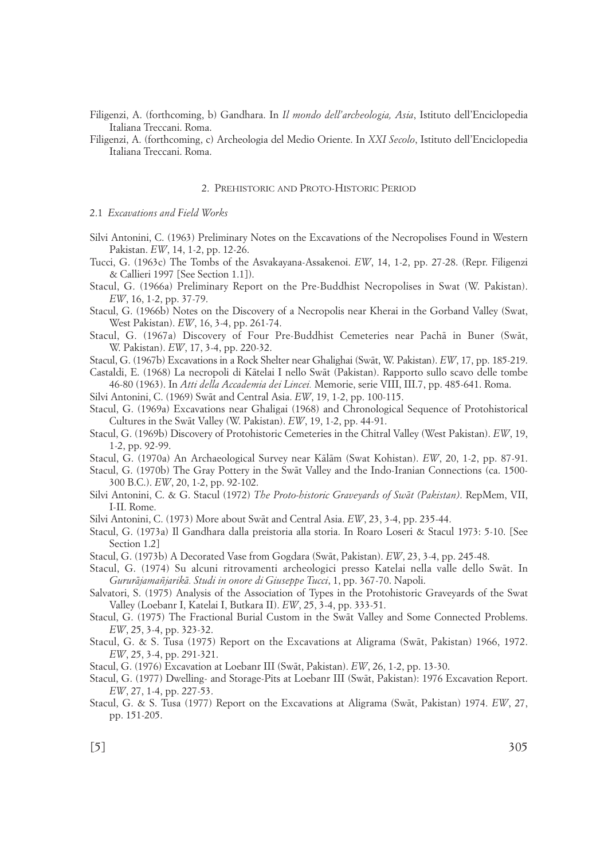Filigenzi, A. (forthcoming, b) Gandhara. In *Il mondo dell'archeologia, Asia*, Istituto dell'Enciclopedia Italiana Treccani. Roma.

Filigenzi, A. (forthcoming, c) Archeologia del Medio Oriente. In *XXI Secolo*, Istituto dell'Enciclopedia Italiana Treccani. Roma.

#### 2. PREHISTORIC AND PROTO-HISTORIC PERIOD

## 2.1 *Excavations and Field Works*

- Silvi Antonini, C. (1963) Preliminary Notes on the Excavations of the Necropolises Found in Western Pakistan. *EW*, 14, 1-2, pp. 12-26.
- Tucci, G. (1963c) The Tombs of the Asvakayana-Assakenoi. *EW*, 14, 1-2, pp. 27-28. (Repr. Filigenzi & Callieri 1997 [See Section 1.1]).
- Stacul, G. (1966a) Preliminary Report on the Pre-Buddhist Necropolises in Swat (W. Pakistan). *EW*, 16, 1-2, pp. 37-79.
- Stacul, G. (1966b) Notes on the Discovery of a Necropolis near Kherai in the Gorband Valley (Swat, West Pakistan). *EW*, 16, 3-4, pp. 261-74.
- Stacul, G. (1967a) Discovery of Four Pre-Buddhist Cemeteries near Pachå in Buner (Swåt, W. Pakistan). *EW*, 17, 3-4, pp. 220-32.

Stacul, G. (1967b) Excavations in a Rock Shelter near Ghalighai (Swåt, W. Pakistan). *EW*, 17, pp. 185-219.

Castaldi, E. (1968) La necropoli di Kåtelai I nello Swåt (Pakistan). Rapporto sullo scavo delle tombe 46-80 (1963). In *Atti della Accademia dei Lincei.* Memorie, serie VIII, III.7, pp. 485-641. Roma.

Silvi Antonini, C. (1969) Swåt and Central Asia. *EW*, 19, 1-2, pp. 100-115.

- Stacul, G. (1969a) Excavations near Ghaligai (1968) and Chronological Sequence of Protohistorical Cultures in the Swåt Valley (W. Pakistan). *EW*, 19, 1-2, pp. 44-91.
- Stacul, G. (1969b) Discovery of Protohistoric Cemeteries in the Chitral Valley (West Pakistan). *EW*, 19, 1-2, pp. 92-99.

Stacul, G. (1970a) An Archaeological Survey near Kålåm (Swat Kohistan). *EW*, 20, 1-2, pp. 87-91.

- Stacul, G. (1970b) The Gray Pottery in the Swåt Valley and the Indo-Iranian Connections (ca. 1500- 300 B.C.). *EW*, 20, 1-2, pp. 92-102.
- Silvi Antonini, C. & G. Stacul (1972) *The Proto-historic Graveyards of Swåt (Pakistan)*. RepMem, VII, I-II. Rome.
- Silvi Antonini, C. (1973) More about Swåt and Central Asia. *EW*, 23, 3-4, pp. 235-44.
- Stacul, G. (1973a) Il Gandhara dalla preistoria alla storia. In Roaro Loseri & Stacul 1973: 5-10. [See Section 1.2]
- Stacul, G. (1973b) A Decorated Vase from Gogdara (Swåt, Pakistan). *EW*, 23, 3-4, pp. 245-48.
- Stacul, G. (1974) Su alcuni ritrovamenti archeologici presso Katelai nella valle dello Swåt. In *Gururåjamañjarikå. Studi in onore di Giuseppe Tucci*, 1, pp. 367-70. Napoli.

Salvatori, S. (1975) Analysis of the Association of Types in the Protohistoric Graveyards of the Swat Valley (Loebanr I, Katelai I, Butkara II). *EW*, 25, 3-4, pp. 333-51.

- Stacul, G. (1975) The Fractional Burial Custom in the Swåt Valley and Some Connected Problems. *EW*, 25, 3-4, pp. 323-32.
- Stacul, G. & S. Tusa (1975) Report on the Excavations at Aligrama (Swåt, Pakistan) 1966, 1972. *EW*, 25, 3-4, pp. 291-321.

Stacul, G. (1976) Excavation at Loebanr III (Swåt, Pakistan). *EW*, 26, 1-2, pp. 13-30.

- Stacul, G. (1977) Dwelling- and Storage-Pits at Loebanr III (Swåt, Pakistan): 1976 Excavation Report. *EW*, 27, 1-4, pp. 227-53.
- Stacul, G. & S. Tusa (1977) Report on the Excavations at Aligrama (Swåt, Pakistan) 1974. *EW*, 27, pp. 151-205.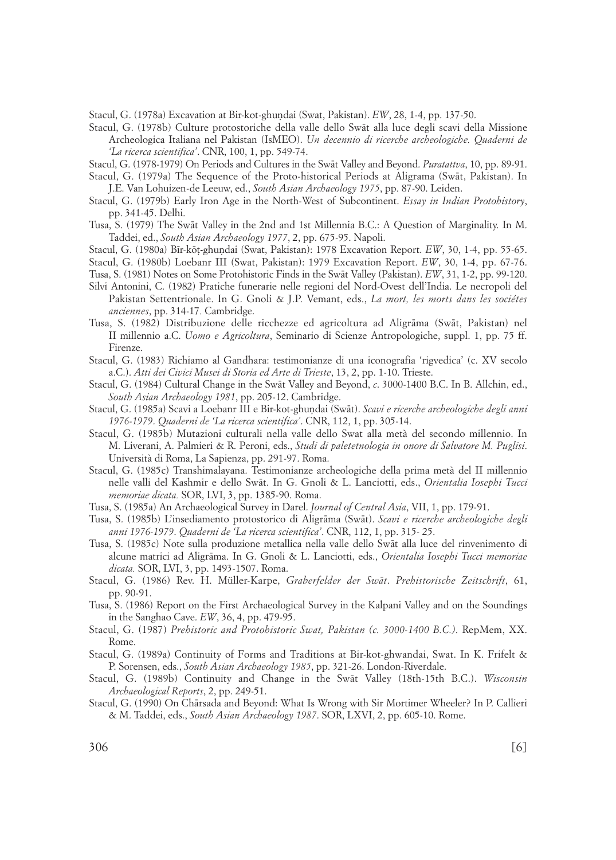Stacul, G. (1978a) Excavation at Bir-kot-ghundai (Swat, Pakistan). *EW*, 28, 1-4, pp. 137-50.

Stacul, G. (1978b) Culture protostoriche della valle dello Swåt alla luce degli scavi della Missione Archeologica Italiana nel Pakistan (IsMEO). *Un decennio di ricerche archeologiche. Quaderni de 'La ricerca scientifica'*. CNR, 100, 1, pp. 549-74.

Stacul, G. (1978-1979) On Periods and Cultures in the Swåt Valley and Beyond. *Puratattva*, 10, pp. 89-91.

- Stacul, G. (1979a) The Sequence of the Proto-historical Periods at Aligrama (Swåt, Pakistan). In J.E. Van Lohuizen-de Leeuw, ed., *South Asian Archaeology 1975*, pp. 87-90. Leiden.
- Stacul, G. (1979b) Early Iron Age in the North-West of Subcontinent. *Essay in Indian Protohistory*, pp. 341-45. Delhi.
- Tusa, S. (1979) The Swåt Valley in the 2nd and 1st Millennia B.C.: A Question of Marginality. In M. Taddei, ed., *South Asian Archaeology 1977*, 2, pp. 675-95. Napoli.
- Stacul, G. (1980a) B¤r-kø†**-**ghu∫dai (Swat, Pakistan): 1978 Excavation Report. *EW*, 30, 1-4, pp. 55-65.
- Stacul, G. (1980b) Loebanr III (Swat, Pakistan): 1979 Excavation Report. *EW*, 30, 1-4, pp. 67-76.
- Tusa, S. (1981) Notes on Some Protohistoric Finds in the Swåt Valley (Pakistan). *EW*, 31, 1-2, pp. 99-120.
- Silvi Antonini, C. (1982) Pratiche funerarie nelle regioni del Nord-Ovest dell'India. Le necropoli del Pakistan Settentrionale. In G. Gnoli & J.P. Vemant, eds., *La mort, les morts dans les sociétes anciennes*, pp. 314-17*.* Cambridge.
- Tusa, S. (1982) Distribuzione delle ricchezze ed agricoltura ad Aligråma (Swåt, Pakistan) nel II millennio a.C. *Uomo e Agricoltura*, Seminario di Scienze Antropologiche, suppl. 1, pp. 75 ff. Firenze.
- Stacul, G. (1983) Richiamo al Gandhara: testimonianze di una iconografia 'rigvedica' (c. XV secolo a.C.). *Atti dei Civici Musei di Storia ed Arte di Trieste*, 13, 2, pp. 1-10. Trieste.
- Stacul, G. (1984) Cultural Change in the Swåt Valley and Beyond, *c*. 3000-1400 B.C. In B. Allchin, ed., *South Asian Archaeology 1981*, pp. 205-12. Cambridge.
- Stacul, G. (1985a) Scavi a Loebanr III e Bir-kot-ghundai (Swāt). *Scavi e ricerche archeologiche degli anni 1976-1979*. *Quaderni de 'La ricerca scientifica'*. CNR, 112, 1, pp. 305-14.
- Stacul, G. (1985b) Mutazioni culturali nella valle dello Swat alla metà del secondo millennio. In M. Liverani, A. Palmieri & R. Peroni, eds., *Studi di paletetnologia in onore di Salvatore M. Puglisi*. Università di Roma, La Sapienza, pp. 291-97. Roma.
- Stacul, G. (1985c) Transhimalayana. Testimonianze archeologiche della prima metà del II millennio nelle valli del Kashmir e dello Swåt. In G. Gnoli & L. Lanciotti, eds., *Orientalia Iosephi Tucci memoriae dicata.* SOR, LVI, 3, pp. 1385-90. Roma.
- Tusa, S. (1985a) An Archaeological Survey in Darel. *Journal of Central Asia*, VII, 1, pp. 179-91.
- Tusa, S. (1985b) L'insediamento protostorico di Aligråma (Swåt). *Scavi e ricerche archeologiche degli anni 1976-1979*. *Quaderni de 'La ricerca scientifica'*. CNR, 112, 1, pp. 315- 25.
- Tusa, S. (1985c) Note sulla produzione metallica nella valle dello Swåt alla luce del rinvenimento di alcune matrici ad Aligråma. In G. Gnoli & L. Lanciotti, eds., *Orientalia Iosephi Tucci memoriae dicata.* SOR, LVI, 3, pp. 1493-1507. Roma.
- Stacul, G. (1986) Rev. H. Müller-Karpe, *Graberfelder der Swåt*. *Prehistorische Zeitschrift*, 61, pp. 90-91.
- Tusa, S. (1986) Report on the First Archaeological Survey in the Kalpani Valley and on the Soundings in the Sanghao Cave. *EW*, 36, 4, pp. 479-95.
- Stacul, G. (1987) *Prehistoric and Protohistoric Swat, Pakistan (c. 3000-1400 B.C.)*. RepMem, XX. Rome.
- Stacul, G. (1989a) Continuity of Forms and Traditions at Bir-kot-ghwandai, Swat. In K. Frifelt & P. Sorensen, eds., *South Asian Archaeology 1985*, pp. 321-26. London-Riverdale.
- Stacul, G. (1989b) Continuity and Change in the Swåt Valley (18th-15th B.C.). *Wisconsin Archaeological Reports*, 2, pp. 249-51.
- Stacul, G. (1990) On Chårsada and Beyond: What Is Wrong with Sir Mortimer Wheeler? In P. Callieri & M. Taddei, eds., *South Asian Archaeology 1987*. SOR, LXVI, 2, pp. 605-10. Rome.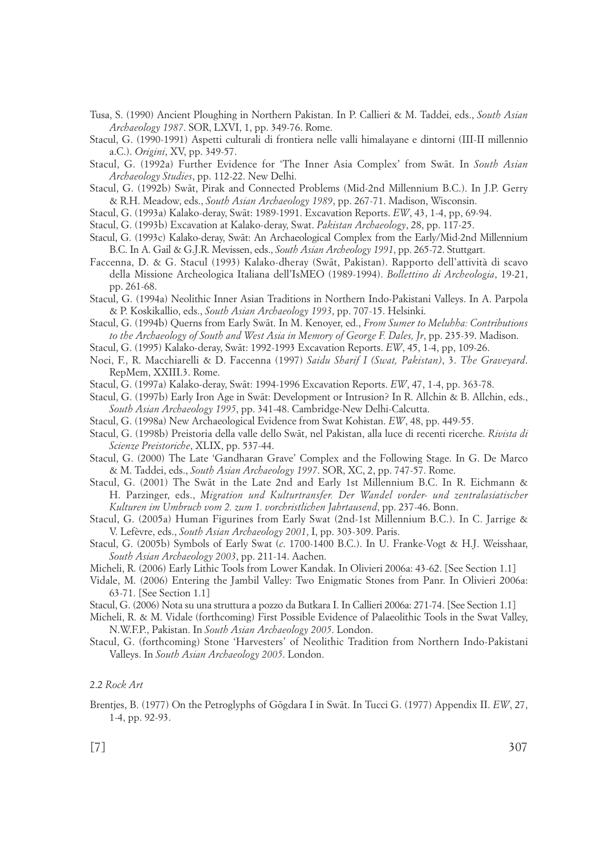- Tusa, S. (1990) Ancient Ploughing in Northern Pakistan. In P. Callieri & M. Taddei, eds., *South Asian Archaeology 1987*. SOR, LXVI, 1, pp. 349-76. Rome.
- Stacul, G. (1990-1991) Aspetti culturali di frontiera nelle valli himalayane e dintorni (III-II millennio a.C.). *Origini*, XV, pp. 349-57.
- Stacul, G. (1992a) Further Evidence for 'The Inner Asia Complex' from Swåt. In *South Asian Archaeology Studies*, pp. 112-22. New Delhi.
- Stacul, G. (1992b) Swåt, Pirak and Connected Problems (Mid-2nd Millennium B.C.). In J.P. Gerry & R.H. Meadow, eds., *South Asian Archaeology 1989*, pp. 267-71. Madison, Wisconsin.
- Stacul, G. (1993a) Kalako-deray, Swåt: 1989-1991. Excavation Reports. *EW*, 43, 1-4, pp, 69-94.
- Stacul, G. (1993b) Excavation at Kalako-deray, Swat. *Pakistan Archaeology*, 28, pp. 117-25.
- Stacul, G. (1993c) Kalako-deray, Swåt: An Archaeological Complex from the Early/Mid-2nd Millennium B.C. In A. Gail & G.J.R. Mevissen, eds., *South Asian Archeology 1991*, pp. 265-72. Stuttgart.
- Faccenna, D. & G. Stacul (1993) Kalako-dheray (Swåt, Pakistan). Rapporto dell'attività di scavo della Missione Archeologica Italiana dell'IsMEO (1989-1994). *Bollettino di Archeologia*, 19-21, pp. 261-68.
- Stacul, G. (1994a) Neolithic Inner Asian Traditions in Northern Indo-Pakistani Valleys. In A. Parpola & P. Koskikallio, eds., *South Asian Archaeology 1993*, pp. 707-15. Helsinki.
- Stacul, G. (1994b) Querns from Early Swåt. In M. Kenoyer, ed., *From Sumer to Meluhha: Contributions to the Archaeology of South and West Asia in Memory of George F. Dales, Jr*, pp. 235-39. Madison.
- Stacul, G. (1995) Kalako-deray, Swåt: 1992-1993 Excavation Reports. *EW*, 45, 1-4, pp, 109-26.
- Noci, F., R. Macchiarelli & D. Faccenna (1997) *Saidu Sharif I (Swat, Pakistan)*, 3. *The Graveyard*. RepMem, XXIII.3. Rome.
- Stacul, G. (1997a) Kalako-deray, Swåt: 1994-1996 Excavation Reports. *EW*, 47, 1-4, pp. 363-78.
- Stacul, G. (1997b) Early Iron Age in Swåt: Development or Intrusion? In R. Allchin & B. Allchin, eds., *South Asian Archaeology 1995*, pp. 341-48. Cambridge-New Delhi-Calcutta.
- Stacul, G. (1998a) New Archaeological Evidence from Swat Kohistan. *EW*, 48, pp. 449-55.
- Stacul, G. (1998b) Preistoria della valle dello Swåt, nel Pakistan, alla luce di recenti ricerche. *Rivista di Scienze Preistoriche*, XLIX, pp. 537-44.
- Stacul, G. (2000) The Late 'Gandharan Grave' Complex and the Following Stage. In G. De Marco & M. Taddei, eds., *South Asian Archaeology 1997*. SOR, XC, 2, pp. 747-57. Rome.
- Stacul, G. (2001) The Swåt in the Late 2nd and Early 1st Millennium B.C. In R. Eichmann & H. Parzinger, eds., *Migration und Kulturtransfer. Der Wandel vorder- und zentralasiatischer Kulturen im Umbruch vom 2. zum 1. vorchristlichen Jahrtausend*, pp. 237-46. Bonn.
- Stacul, G. (2005a) Human Figurines from Early Swat (2nd-1st Millennium B.C.). In C. Jarrige & V. Lefèvre, eds., *South Asian Archaeology 2001*, I, pp. 303-309. Paris.
- Stacul, G. (2005b) Symbols of Early Swat (*c*. 1700-1400 B.C.). In U. Franke-Vogt & H.J. Weisshaar, *South Asian Archaeology 2003*, pp. 211-14. Aachen.
- Micheli, R. (2006) Early Lithic Tools from Lower Kandak. In Olivieri 2006a: 43-62. [See Section 1.1]
- Vidale, M. (2006) Entering the Jambil Valley: Two Enigmatic Stones from Panr. In Olivieri 2006a: 63-71. [See Section 1.1]
- Stacul, G. (2006) Nota su una struttura a pozzo da Butkara I. In Callieri 2006a: 271-74. [See Section 1.1]
- Micheli, R. & M. Vidale (forthcoming) First Possible Evidence of Palaeolithic Tools in the Swat Valley, N.W.F.P., Pakistan. In *South Asian Archaeology 2005*. London.
- Stacul, G. (forthcoming) Stone 'Harvesters' of Neolithic Tradition from Northern Indo-Pakistani Valleys. In *South Asian Archaeology 2005*. London.

# 2.2 *Rock Art*

Brentjes, B. (1977) On the Petroglyphs of Gøgdara I in Swåt. In Tucci G. (1977) Appendix II. *EW*, 27, 1-4, pp. 92-93.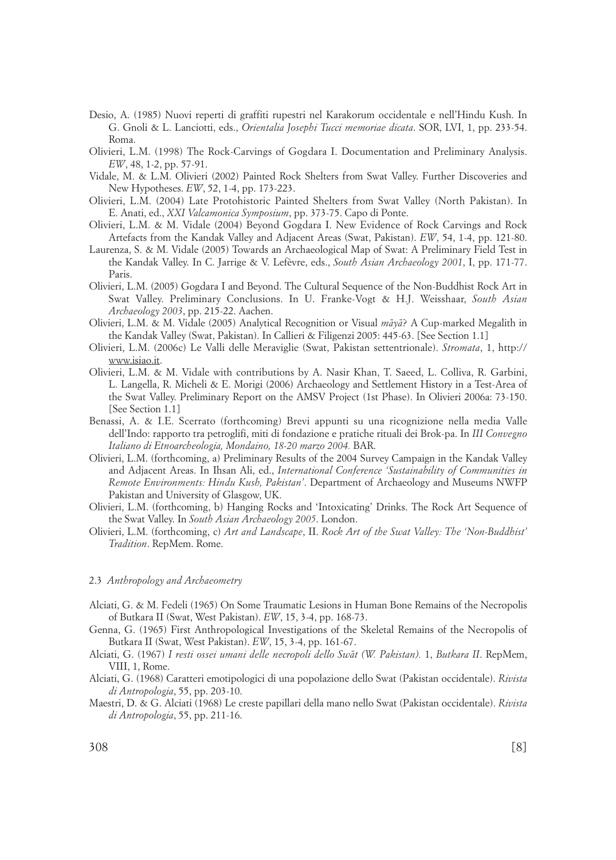- Desio, A. (1985) Nuovi reperti di graffiti rupestri nel Karakorum occidentale e nell'Hindu Kush. In G. Gnoli & L. Lanciotti, eds., *Orientalia Josephi Tucci memoriae dicata*. SOR, LVI, 1, pp. 233-54. Roma.
- Olivieri, L.M. (1998) The Rock-Carvings of Gogdara I. Documentation and Preliminary Analysis. *EW*, 48, 1-2, pp. 57-91.
- Vidale, M. & L.M. Olivieri (2002) Painted Rock Shelters from Swat Valley. Further Discoveries and New Hypotheses. *EW*, 52, 1-4, pp. 173-223.
- Olivieri, L.M. (2004) Late Protohistoric Painted Shelters from Swat Valley (North Pakistan). In E. Anati, ed., *XXI Valcamonica Symposium*, pp. 373-75. Capo di Ponte.
- Olivieri, L.M. & M. Vidale (2004) Beyond Gogdara I. New Evidence of Rock Carvings and Rock Artefacts from the Kandak Valley and Adjacent Areas (Swat, Pakistan). *EW*, 54, 1-4, pp. 121-80.
- Laurenza, S. & M. Vidale (2005) Towards an Archaeological Map of Swat: A Preliminary Field Test in the Kandak Valley. In C. Jarrige & V. Lefèvre, eds., *South Asian Archaeology 2001*, I, pp. 171-77. Paris.
- Olivieri, L.M. (2005) Gogdara I and Beyond. The Cultural Sequence of the Non-Buddhist Rock Art in Swat Valley. Preliminary Conclusions. In U. Franke-Vogt & H.J. Weisshaar, *South Asian Archaeology 2003*, pp. 215-22. Aachen.
- Olivieri, L.M. & M. Vidale (2005) Analytical Recognition or Visual *måyå*? A Cup-marked Megalith in the Kandak Valley (Swat, Pakistan). In Callieri & Filigenzi 2005: 445-63. [See Section 1.1]
- Olivieri, L.M. (2006c) Le Valli delle Meraviglie (Swat, Pakistan settentrionale). *Stromata*, 1, http:// www.isiao.it.
- Olivieri, L.M. & M. Vidale with contributions by A. Nasir Khan, T. Saeed, L. Colliva, R. Garbini, L. Langella, R. Micheli & E. Morigi (2006) Archaeology and Settlement History in a Test-Area of the Swat Valley. Preliminary Report on the AMSV Project (1st Phase). In Olivieri 2006a: 73-150. [See Section 1.1]
- Benassi, A. & I.E. Scerrato (forthcoming) Brevi appunti su una ricognizione nella media Valle dell'Indo: rapporto tra petroglifi, miti di fondazione e pratiche rituali dei Brok-pa. In *III Convegno Italiano di Etnoarcheologia, Mondaino, 18-20 marzo 2004.* BAR.
- Olivieri, L.M. (forthcoming, a) Preliminary Results of the 2004 Survey Campaign in the Kandak Valley and Adjacent Areas. In Ihsan Ali, ed., *International Conference 'Sustainability of Communities in Remote Environments: Hindu Kush, Pakistan'*. Department of Archaeology and Museums NWFP Pakistan and University of Glasgow, UK.
- Olivieri, L.M. (forthcoming, b) Hanging Rocks and 'Intoxicating' Drinks. The Rock Art Sequence of the Swat Valley. In *South Asian Archaeology 2005*. London.
- Olivieri, L.M. (forthcoming, c) *Art and Landscape*, II. *Rock Art of the Swat Valley: The 'Non-Buddhist' Tradition*. RepMem. Rome.

#### 2.3 *Anthropology and Archaeometry*

- Alciati, G. & M. Fedeli (1965) On Some Traumatic Lesions in Human Bone Remains of the Necropolis of Butkara II (Swat, West Pakistan). *EW*, 15, 3-4, pp. 168-73.
- Genna, G. (1965) First Anthropological Investigations of the Skeletal Remains of the Necropolis of Butkara II (Swat, West Pakistan). *EW*, 15, 3-4, pp. 161-67.
- Alciati, G. (1967) *I resti ossei umani delle necropoli dello Swåt (W. Pakistan).* 1, *Butkara II*. RepMem, VIII, 1, Rome.
- Alciati, G. (1968) Caratteri emotipologici di una popolazione dello Swat (Pakistan occidentale). *Rivista di Antropologia*, 55, pp. 203-10.
- Maestri, D. & G. Alciati (1968) Le creste papillari della mano nello Swat (Pakistan occidentale). *Rivista di Antropologia*, 55, pp. 211-16.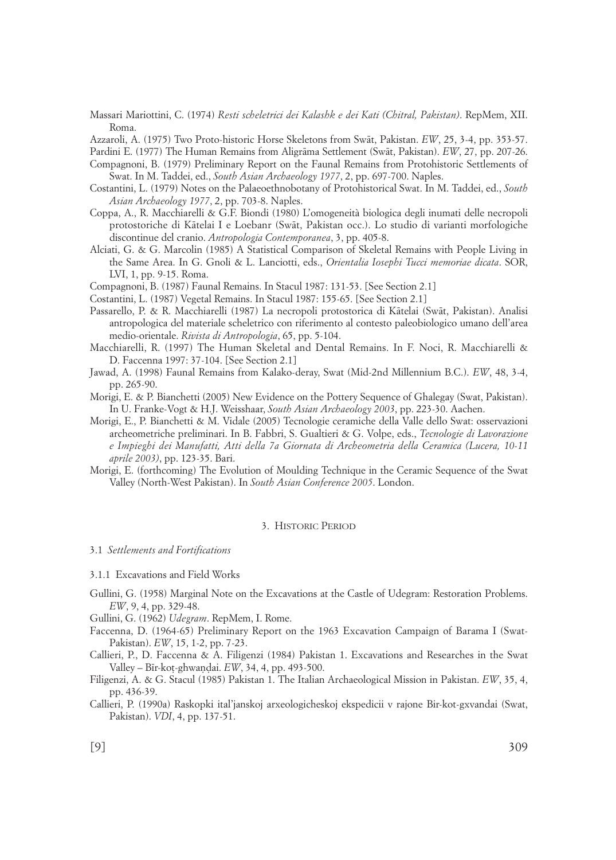Massari Mariottini, C. (1974) *Resti scheletrici dei Kalashk e dei Kati (Chitral, Pakistan)*. RepMem, XII. Roma.

Azzaroli, A. (1975) Two Proto-historic Horse Skeletons from Swåt, Pakistan. *EW*, 25, 3-4, pp. 353-57.

Pardini E. (1977) The Human Remains from Aligråma Settlement (Swåt, Pakistan). *EW*, 27, pp. 207-26.

Compagnoni, B. (1979) Preliminary Report on the Faunal Remains from Protohistoric Settlements of Swat. In M. Taddei, ed., *South Asian Archaeology 1977*, 2, pp. 697-700. Naples.

- Costantini, L. (1979) Notes on the Palaeoethnobotany of Protohistorical Swat. In M. Taddei, ed., *South Asian Archaeology 1977*, 2, pp. 703-8. Naples.
- Coppa, A., R. Macchiarelli & G.F. Biondi (1980) L'omogeneità biologica degli inumati delle necropoli protostoriche di Kåtelai I e Loebanr (Swåt, Pakistan occ.). Lo studio di varianti morfologiche discontinue del cranio. *Antropologia Contemporanea*, 3, pp. 405-8.
- Alciati, G. & G. Marcolin (1985) A Statistical Comparison of Skeletal Remains with People Living in the Same Area. In G. Gnoli & L. Lanciotti, eds., *Orientalia Iosephi Tucci memoriae dicata*. SOR, LVI, 1, pp. 9-15. Roma.

Compagnoni, B. (1987) Faunal Remains. In Stacul 1987: 131-53. [See Section 2.1]

Costantini, L. (1987) Vegetal Remains. In Stacul 1987: 155-65. [See Section 2.1]

- Passarello, P. & R. Macchiarelli (1987) La necropoli protostorica di Kåtelai (Swåt, Pakistan). Analisi antropologica del materiale scheletrico con riferimento al contesto paleobiologico umano dell'area medio-orientale. *Rivista di Antropologia*, 65, pp. 5-104.
- Macchiarelli, R. (1997) The Human Skeletal and Dental Remains. In F. Noci, R. Macchiarelli & D. Faccenna 1997: 37-104. [See Section 2.1]
- Jawad, A. (1998) Faunal Remains from Kalako-deray, Swat (Mid-2nd Millennium B.C.). *EW*, 48, 3-4, pp. 265-90.
- Morigi, E. & P. Bianchetti (2005) New Evidence on the Pottery Sequence of Ghalegay (Swat, Pakistan). In U. Franke-Vogt & H.J. Weisshaar, *South Asian Archaeology 2003*, pp. 223-30. Aachen.
- Morigi, E., P. Bianchetti & M. Vidale (2005) Tecnologie ceramiche della Valle dello Swat: osservazioni archeometriche preliminari. In B. Fabbri, S. Gualtieri & G. Volpe, eds., *Tecnologie di Lavorazione e Impieghi dei Manufatti, Atti della 7a Giornata di Archeometria della Ceramica (Lucera, 10-11 aprile 2003)*, pp. 123-35. Bari.
- Morigi, E. (forthcoming) The Evolution of Moulding Technique in the Ceramic Sequence of the Swat Valley (North-West Pakistan). In *South Asian Conference 2005*. London.

#### 3. HISTORIC PERIOD

#### 3.1 *Settlements and Fortifications*

3.1.1 Excavations and Field Works

- Gullini, G. (1958) Marginal Note on the Excavations at the Castle of Udegram: Restoration Problems. *EW*, 9, 4, pp. 329-48.
- Gullini, G. (1962) *Udegram*. RepMem, I. Rome.
- Faccenna, D. (1964-65) Preliminary Report on the 1963 Excavation Campaign of Barama I (Swat-Pakistan). *EW*, 15, 1-2, pp. 7-23.

Callieri, P., D. Faccenna & A. Filigenzi (1984) Pakistan 1. Excavations and Researches in the Swat Valley – B¤r-ko†-ghwa∫∂ai. *EW*, 34, 4, pp. 493-500.

Filigenzi, A. & G. Stacul (1985) Pakistan 1. The Italian Archaeological Mission in Pakistan. *EW*, 35, 4, pp. 436-39.

Callieri, P. (1990a) Raskopki ital'janskoj arxeologicheskoj ekspedicii v rajone Bir-kot-gxvandai (Swat, Pakistan). *VDI*, 4, pp. 137-51.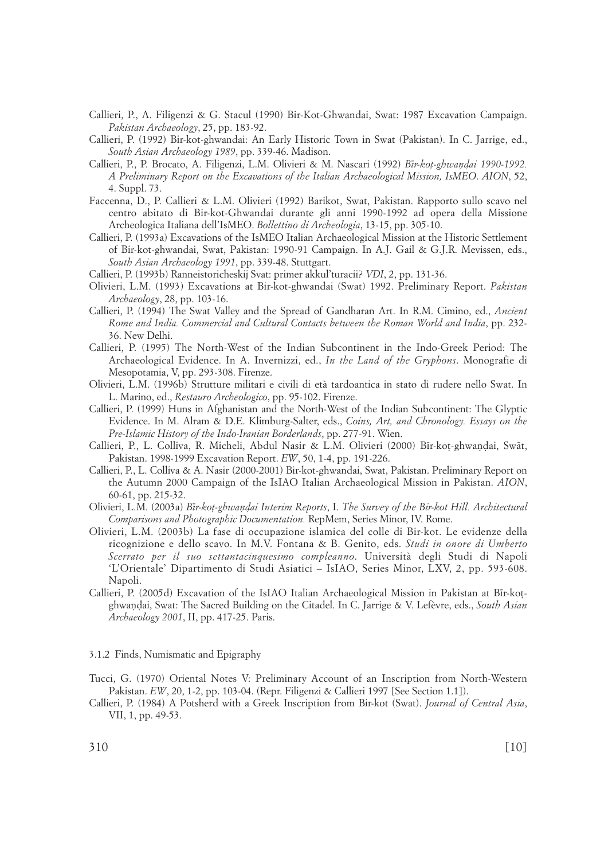- Callieri, P., A. Filigenzi & G. Stacul (1990) Bir-Kot-Ghwandai, Swat: 1987 Excavation Campaign. *Pakistan Archaeology*, 25, pp. 183-92.
- Callieri, P. (1992) Bir-kot-ghwandai: An Early Historic Town in Swat (Pakistan). In C. Jarrige, ed., *South Asian Archaeology 1989*, pp. 339-46. Madison.
- Callieri, P., P. Brocato, A. Filigenzi, L.M. Olivieri & M. Nascari (1992) *B¤r-ko†-ghwa∫∂ai 1990-1992. A Preliminary Report on the Excavations of the Italian Archaeological Mission, IsMEO*. *AION*, 52, 4. Suppl. 73.
- Faccenna, D., P. Callieri & L.M. Olivieri (1992) Barikot, Swat, Pakistan. Rapporto sullo scavo nel centro abitato di Bir-kot-Ghwandai durante gli anni 1990-1992 ad opera della Missione Archeologica Italiana dell'IsMEO. *Bollettino di Archeologia*, 13-15, pp. 305-10.
- Callieri, P. (1993a) Excavations of the IsMEO Italian Archaeological Mission at the Historic Settlement of Bir-kot-ghwandai, Swat, Pakistan: 1990-91 Campaign. In A.J. Gail & G.J.R. Mevissen, eds., *South Asian Archaeology 1991*, pp. 339-48. Stuttgart.
- Callieri, P. (1993b) Ranneistoricheskij Svat: primer akkul'turacii? *VDI*, 2, pp. 131-36.
- Olivieri, L.M. (1993) Excavations at Bir-kot-ghwandai (Swat) 1992. Preliminary Report. *Pakistan Archaeology*, 28, pp. 103-16.
- Callieri, P. (1994) The Swat Valley and the Spread of Gandharan Art. In R.M. Cimino, ed., *Ancient Rome and India. Commercial and Cultural Contacts between the Roman World and India*, pp. 232- 36. New Delhi.
- Callieri, P. (1995) The North-West of the Indian Subcontinent in the Indo-Greek Period: The Archaeological Evidence. In A. Invernizzi, ed., *In the Land of the Gryphons*. Monografie di Mesopotamia, V, pp. 293-308. Firenze.
- Olivieri, L.M. (1996b) Strutture militari e civili di età tardoantica in stato di rudere nello Swat. In L. Marino, ed., *Restauro Archeologico*, pp. 95-102. Firenze.
- Callieri, P. (1999) Huns in Afghanistan and the North-West of the Indian Subcontinent: The Glyptic Evidence. In M. Alram & D.E. Klimburg-Salter, eds., *Coins, Art, and Chronology. Essays on the Pre-Islamic History of the Indo-Iranian Borderlands*, pp. 277-91. Wien.
- Callieri, P., L. Colliva, R. Micheli, Abdul Nasir & L.M. Olivieri (2000) Bīr-koț-ghwaņḍai, Swāt, Pakistan. 1998-1999 Excavation Report. *EW*, 50, 1-4, pp. 191-226.
- Callieri, P., L. Colliva & A. Nasir (2000-2001) Bir-kot-ghwandai, Swat, Pakistan. Preliminary Report on the Autumn 2000 Campaign of the IsIAO Italian Archaeological Mission in Pakistan. *AION*, 60-61, pp. 215-32.
- Olivieri, L.M. (2003a) *B¤r-ko†-ghwa∫∂ai Interim Reports*, I. *The Survey of the Bir-kot Hill. Architectural Comparisons and Photographic Documentation.* RepMem, Series Minor, IV. Rome.
- Olivieri, L.M. (2003b) La fase di occupazione islamica del colle di Bir-kot. Le evidenze della ricognizione e dello scavo. In M.V. Fontana & B. Genito, eds. *Studi in onore di Umberto Scerrato per il suo settantacinquesimo compleanno*. Università degli Studi di Napoli 'L'Orientale' Dipartimento di Studi Asiatici – IsIAO, Series Minor, LXV, 2, pp. 593-608. Napoli.
- Callieri, P. (2005d) Excavation of the IsIAO Italian Archaeological Mission in Pakistan at Bīr-kotghwa∫∂ai, Swat: The Sacred Building on the Citadel. In C. Jarrige & V. Lefèvre, eds., *South Asian Archaeology 2001*, II, pp. 417-25. Paris.

3.1.2 Finds, Numismatic and Epigraphy

- Tucci, G. (1970) Oriental Notes V: Preliminary Account of an Inscription from North-Western Pakistan. *EW*, 20, 1-2, pp. 103-04. (Repr. Filigenzi & Callieri 1997 [See Section 1.1]).
- Callieri, P. (1984) A Potsherd with a Greek Inscription from Bir-kot (Swat). *Journal of Central Asia*, VII, 1, pp. 49-53.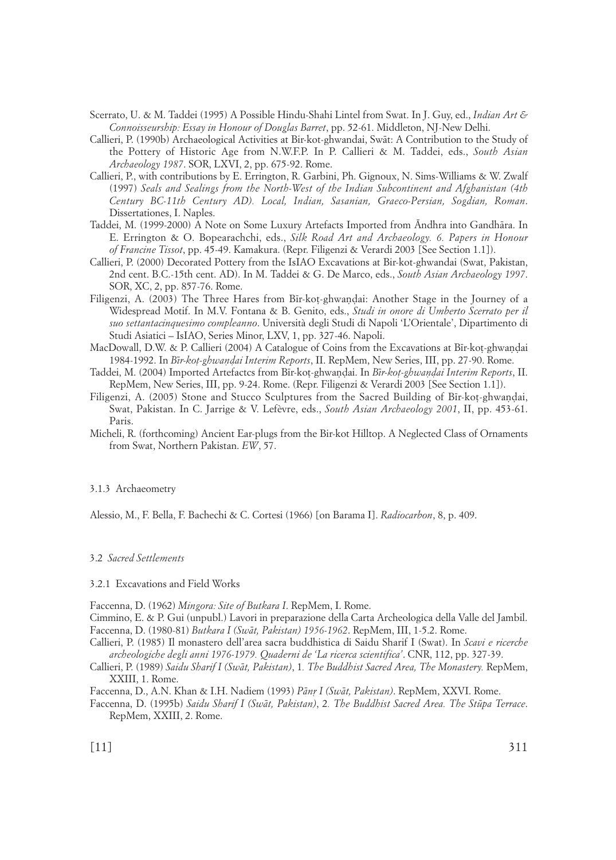- Scerrato, U. & M. Taddei (1995) A Possible Hindu-Shahi Lintel from Swat. In J. Guy, ed., *Indian Art & Connoisseurship: Essay in Honour of Douglas Barret*, pp. 52-61. Middleton, NJ-New Delhi.
- Callieri, P. (1990b) Archaeological Activities at Bir-kot-ghwandai, Swåt: A Contribution to the Study of the Pottery of Historic Age from N.W.F.P. In P. Callieri & M. Taddei, eds., *South Asian Archaeology 1987*. SOR, LXVI, 2, pp. 675-92. Rome.
- Callieri, P., with contributions by E. Errington, R. Garbini, Ph. Gignoux, N. Sims-Williams & W. Zwalf (1997) *Seals and Sealings from the North-West of the Indian Subcontinent and Afghanistan (4th Century BC-11th Century AD). Local, Indian, Sasanian, Graeco-Persian, Sogdian, Roman*. Dissertationes, I. Naples.
- Taddei, M. (1999-2000) A Note on Some Luxury Artefacts Imported from Åndhra into Gandhåra. In E. Errington & O. Bopearachchi, eds., *Silk Road Art and Archaeology. 6. Papers in Honour of Francine Tissot*, pp. 45-49. Kamakura. (Repr. Filigenzi & Verardi 2003 [See Section 1.1]).
- Callieri, P. (2000) Decorated Pottery from the IsIAO Excavations at Bir-kot-ghwandai (Swat, Pakistan, 2nd cent. B.C.-15th cent. AD). In M. Taddei & G. De Marco, eds., *South Asian Archaeology 1997*. SOR, XC, 2, pp. 857-76. Rome.
- Filigenzi, A. (2003) The Three Hares from B¤r-ko†-ghwa∫∂ai: Another Stage in the Journey of a Widespread Motif. In M.V. Fontana & B. Genito, eds., *Studi in onore di Umberto Scerrato per il suo settantacinquesimo compleanno*. Università degli Studi di Napoli 'L'Orientale', Dipartimento di Studi Asiatici – IsIAO, Series Minor, LXV, 1, pp. 327-46. Napoli.
- MacDowall, D.W. & P. Callieri (2004) A Catalogue of Coins from the Excavations at Bīr-kot-ghwandai 1984-1992. In *B¤r-ko†-ghwa∫∂ai Interim Reports*, II. RepMem, New Series, III, pp. 27-90. Rome.
- Taddei, M. (2004) Imported Artefactcs from B¤r-ko†-ghwa∫∂ai. In *B¤r-ko†-ghwa∫∂ai Interim Reports*, II. RepMem, New Series, III, pp. 9-24. Rome. (Repr. Filigenzi & Verardi 2003 [See Section 1.1]).
- Filigenzi, A. (2005) Stone and Stucco Sculptures from the Sacred Building of Bīr-kot-ghwandai, Swat, Pakistan. In C. Jarrige & V. Lefèvre, eds., *South Asian Archaeology 2001*, II, pp. 453-61. Paris.
- Micheli, R. (forthcoming) Ancient Ear-plugs from the Bir-kot Hilltop. A Neglected Class of Ornaments from Swat, Northern Pakistan. *EW*, 57.

#### 3.1.3 Archaeometry

Alessio, M., F. Bella, F. Bachechi & C. Cortesi (1966) [on Barama I]. *Radiocarbon*, 8, p. 409.

#### 3.2 *Sacred Settlements*

#### 3.2.1 Excavations and Field Works

Faccenna, D. (1962) *Mingora: Site of Butkara I*. RepMem, I. Rome.

Cimmino, E. & P. Gui (unpubl.) Lavori in preparazione della Carta Archeologica della Valle del Jambil. Faccenna, D. (1980-81) *Butkara I (Swåt, Pakistan) 1956-1962*. RepMem, III, 1-5.2. Rome.

Callieri, P. (1985) Il monastero dell'area sacra buddhistica di Saidu Sharif I (Swat). In *Scavi e ricerche archeologiche degli anni 1976-1979. Quaderni de 'La ricerca scientifica'*. CNR, 112, pp. 327-39.

Callieri, P. (1989) *Saidu Sharif I (Swåt, Pakistan)*, 1*. The Buddhist Sacred Area, The Monastery.* RepMem, XXIII, 1. Rome.

Faccenna, D., A.N. Khan & I.H. Nadiem (1993) *Pån® I (Swåt, Pakistan)*. RepMem, XXVI. Rome.

Faccenna, D. (1995b) *Saidu Sharif I (Swåt, Pakistan)*, 2*. The Buddhist Sacred Area. The St∑pa Terrace*. RepMem, XXIII, 2. Rome.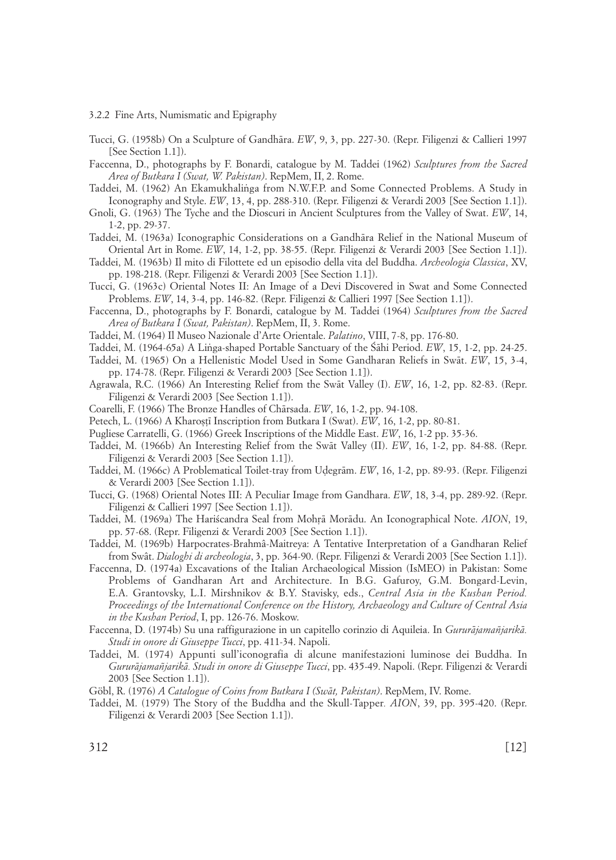3.2.2 Fine Arts, Numismatic and Epigraphy

- Tucci, G. (1958b) On a Sculpture of Gandhåra. *EW*, 9, 3, pp. 227-30. (Repr. Filigenzi & Callieri 1997 [See Section 1.1]).
- Faccenna, D., photographs by F. Bonardi, catalogue by M. Taddei (1962) *Sculptures from the Sacred Area of Butkara I (Swat, W. Pakistan)*. RepMem, II, 2. Rome.
- Taddei, M. (1962) An Ekamukhalinga from N.W.F.P. and Some Connected Problems. A Study in Iconography and Style. *EW*, 13, 4, pp. 288-310. (Repr. Filigenzi & Verardi 2003 [See Section 1.1]).
- Gnoli, G. (1963) The Tyche and the Dioscuri in Ancient Sculptures from the Valley of Swat. *EW*, 14, 1-2, pp. 29-37.
- Taddei, M. (1963a) Iconographic Considerations on a Gandhåra Relief in the National Museum of Oriental Art in Rome. *EW*, 14, 1-2, pp. 38-55. (Repr. Filigenzi & Verardi 2003 [See Section 1.1]).
- Taddei, M. (1963b) Il mito di Filottete ed un episodio della vita del Buddha. *Archeologia Classica*, XV, pp. 198-218. (Repr. Filigenzi & Verardi 2003 [See Section 1.1]).
- Tucci, G. (1963c) Oriental Notes II: An Image of a Devi Discovered in Swat and Some Connected Problems. *EW*, 14, 3-4, pp. 146-82. (Repr. Filigenzi & Callieri 1997 [See Section 1.1]).
- Faccenna, D., photographs by F. Bonardi, catalogue by M. Taddei (1964) *Sculptures from the Sacred Area of Butkara I (Swat, Pakistan)*. RepMem, II, 3. Rome.
- Taddei, M. (1964) Il Museo Nazionale d'Arte Orientale. *Palatino*, VIII, 7-8, pp. 176-80.
- Taddei, M. (1964-65a) A Linga-shaped Portable Sanctuary of the Sahi Period. *EW*, 15, 1-2, pp. 24-25.
- Taddei, M. (1965) On a Hellenistic Model Used in Some Gandharan Reliefs in Swåt. *EW*, 15, 3-4, pp. 174-78. (Repr. Filigenzi & Verardi 2003 [See Section 1.1]).
- Agrawala, R.C. (1966) An Interesting Relief from the Swåt Valley (I). *EW*, 16, 1-2, pp. 82-83. (Repr. Filigenzi & Verardi 2003 [See Section 1.1]).
- Coarelli, F. (1966) The Bronze Handles of Chårsada. *EW*, 16, 1-2, pp. 94-108.
- Petech, L. (1966) A Kharostī Inscription from Butkara I (Swat). *EW*, 16, 1-2, pp. 80-81.
- Pugliese Carratelli, G. (1966) Greek Inscriptions of the Middle East. *EW*, 16, 1-2 pp. 35-36.
- Taddei, M. (1966b) An Interesting Relief from the Swåt Valley (II). *EW*, 16, 1-2, pp. 84-88. (Repr. Filigenzi & Verardi 2003 [See Section 1.1]).
- Taddei, M. (1966c) A Problematical Toilet-tray from U∂egråm. *EW*, 16, 1-2, pp. 89-93. (Repr. Filigenzi & Verardi 2003 [See Section 1.1]).
- Tucci, G. (1968) Oriental Notes III: A Peculiar Image from Gandhara. *EW*, 18, 3-4, pp. 289-92. (Repr. Filigenzi & Callieri 1997 [See Section 1.1]).
- Taddei, M. (1969a) The Hariscandra Seal from Mohrā Morādu. An Iconographical Note. *AION*, 19, pp. 57-68. (Repr. Filigenzi & Verardi 2003 [See Section 1.1]).
- Taddei, M. (1969b) Harpocrates-Brahmâ-Maitreya: A Tentative Interpretation of a Gandharan Relief from Swât. *Dialoghi di archeologia*, 3, pp. 364-90. (Repr. Filigenzi & Verardi 2003 [See Section 1.1]).
- Faccenna, D. (1974a) Excavations of the Italian Archaeological Mission (IsMEO) in Pakistan: Some Problems of Gandharan Art and Architecture. In B.G. Gafuroy, G.M. Bongard-Levin, E.A. Grantovsky, L.I. Mirshnikov & B.Y. Stavisky, eds., *Central Asia in the Kushan Period. Proceedings of the International Conference on the History, Archaeology and Culture of Central Asia in the Kushan Period*, I, pp. 126-76. Moskow.
- Faccenna, D. (1974b) Su una raffigurazione in un capitello corinzio di Aquileia. In *Gururåjamañjarikå. Studi in onore di Giuseppe Tucci*, pp. 411-34. Napoli.
- Taddei, M. (1974) Appunti sull'iconografia di alcune manifestazioni luminose dei Buddha. In *Gururåjamañjarikå. Studi in onore di Giuseppe Tucci*, pp. 435-49. Napoli. (Repr. Filigenzi & Verardi 2003 [See Section 1.1]).
- Göbl, R. (1976) *A Catalogue of Coins from Butkara I (Swåt, Pakistan)*. RepMem, IV. Rome.
- Taddei, M. (1979) The Story of the Buddha and the Skull-Tapper*. AION*, 39, pp. 395-420. (Repr. Filigenzi & Verardi 2003 [See Section 1.1]).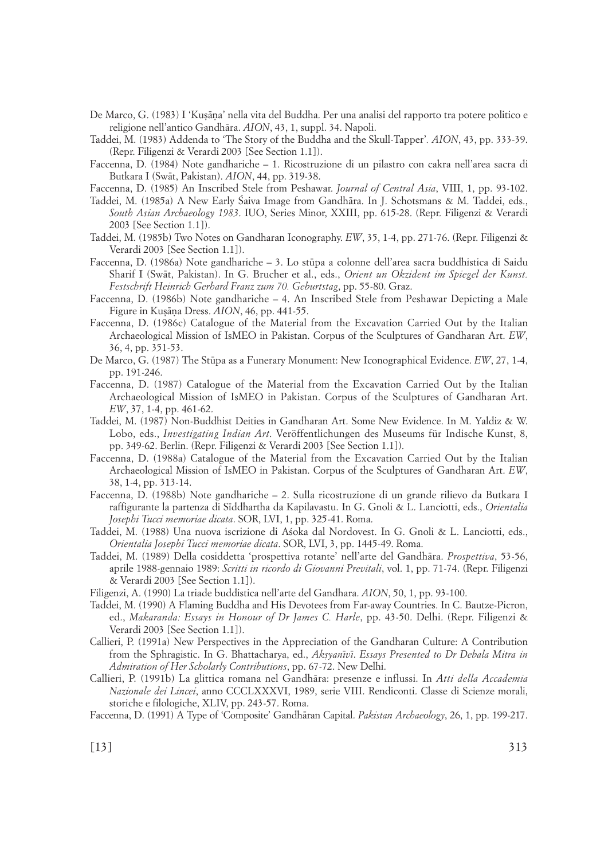- De Marco, G. (1983) I 'Kuşāna' nella vita del Buddha. Per una analisi del rapporto tra potere politico e religione nell'antico Gandhåra. *AION*, 43, 1, suppl. 34. Napoli.
- Taddei, M. (1983) Addenda to 'The Story of the Buddha and the Skull-Tapper'*. AION*, 43, pp. 333-39. (Repr. Filigenzi & Verardi 2003 [See Section 1.1]).
- Faccenna, D. (1984) Note gandhariche 1. Ricostruzione di un pilastro con cakra nell'area sacra di Butkara I (Swåt, Pakistan). *AION*, 44, pp. 319-38.
- Faccenna, D. (1985) An Inscribed Stele from Peshawar. *Journal of Central Asia*, VIII, 1, pp. 93-102.
- Taddei, M. (1985a) A New Early Śaiva Image from Gandhāra. In J. Schotsmans & M. Taddei, eds., *South Asian Archaeology 1983*. IUO, Series Minor, XXIII, pp. 615-28. (Repr. Filigenzi & Verardi 2003 [See Section 1.1]).
- Taddei, M. (1985b) Two Notes on Gandharan Iconography. *EW*, 35, 1-4, pp. 271-76. (Repr. Filigenzi & Verardi 2003 [See Section 1.1]).
- Faccenna, D. (1986a) Note gandhariche 3. Lo st∑pa a colonne dell'area sacra buddhistica di Saidu Sharif I (Swåt, Pakistan). In G. Brucher et al., eds., *Orient un Okzident im Spiegel der Kunst. Festschrift Heinrich Gerhard Franz zum 70. Geburtstag*, pp. 55-80. Graz.
- Faccenna, D. (1986b) Note gandhariche 4. An Inscribed Stele from Peshawar Depicting a Male Figure in Kußå∫a Dress. *AION*, 46, pp. 441-55.
- Faccenna, D. (1986c) Catalogue of the Material from the Excavation Carried Out by the Italian Archaeological Mission of IsMEO in Pakistan. Corpus of the Sculptures of Gandharan Art. *EW*, 36, 4, pp. 351-53.
- De Marco, G. (1987) The Stūpa as a Funerary Monument: New Iconographical Evidence. *EW*, 27, 1-4, pp. 191-246.
- Faccenna, D. (1987) Catalogue of the Material from the Excavation Carried Out by the Italian Archaeological Mission of IsMEO in Pakistan. Corpus of the Sculptures of Gandharan Art. *EW*, 37, 1-4, pp. 461-62.
- Taddei, M. (1987) Non-Buddhist Deities in Gandharan Art. Some New Evidence. In M. Yaldiz & W. Lobo, eds., *Investigating Indian Art*. Veröffentlichungen des Museums für Indische Kunst, 8, pp. 349-62. Berlin. (Repr. Filigenzi & Verardi 2003 [See Section 1.1]).
- Faccenna, D. (1988a) Catalogue of the Material from the Excavation Carried Out by the Italian Archaeological Mission of IsMEO in Pakistan. Corpus of the Sculptures of Gandharan Art. *EW*, 38, 1-4, pp. 313-14.
- Faccenna, D. (1988b) Note gandhariche 2. Sulla ricostruzione di un grande rilievo da Butkara I raffigurante la partenza di S¤ddhartha da Kapilavastu. In G. Gnoli & L. Lanciotti, eds., *Orientalia Josephi Tucci memoriae dicata*. SOR, LVI, 1, pp. 325-41. Roma.
- Taddei, M. (1988) Una nuova iscrizione di Asoka dal Nordovest. In G. Gnoli & L. Lanciotti, eds., *Orientalia Josephi Tucci memoriae dicata*. SOR, LVI, 3, pp. 1445-49. Roma.
- Taddei, M. (1989) Della cosiddetta 'prospettiva rotante' nell'arte del Gandhåra. *Prospettiva*, 53-56, aprile 1988-gennaio 1989: *Scritti in ricordo di Giovanni Previtali*, vol. 1, pp. 71-74. (Repr. Filigenzi & Verardi 2003 [See Section 1.1]).
- Filigenzi, A. (1990) La triade buddistica nell'arte del Gandhara. *AION*, 50, 1, pp. 93-100.
- Taddei, M. (1990) A Flaming Buddha and His Devotees from Far-away Countries. In C. Bautze-Picron, ed., *Makaranda: Essays in Honour of Dr James C. Harle*, pp. 43-50. Delhi. (Repr. Filigenzi & Verardi 2003 [See Section 1.1]).
- Callieri, P. (1991a) New Perspectives in the Appreciation of the Gandharan Culture: A Contribution from the Sphragistic. In G. Bhattacharya, ed., *Akßyan¤v¤*. *Essays Presented to Dr Debala Mitra in Admiration of Her Scholarly Contributions*, pp. 67-72. New Delhi.
- Callieri, P. (1991b) La glittica romana nel Gandhåra: presenze e influssi. In *Atti della Accademia Nazionale dei Lincei*, anno CCCLXXXVI, 1989, serie VIII. Rendiconti. Classe di Scienze morali, storiche e filologiche, XLIV, pp. 243-57. Roma.
- Faccenna, D. (1991) A Type of 'Composite' Gandhåran Capital. *Pakistan Archaeology*, 26, 1, pp. 199-217.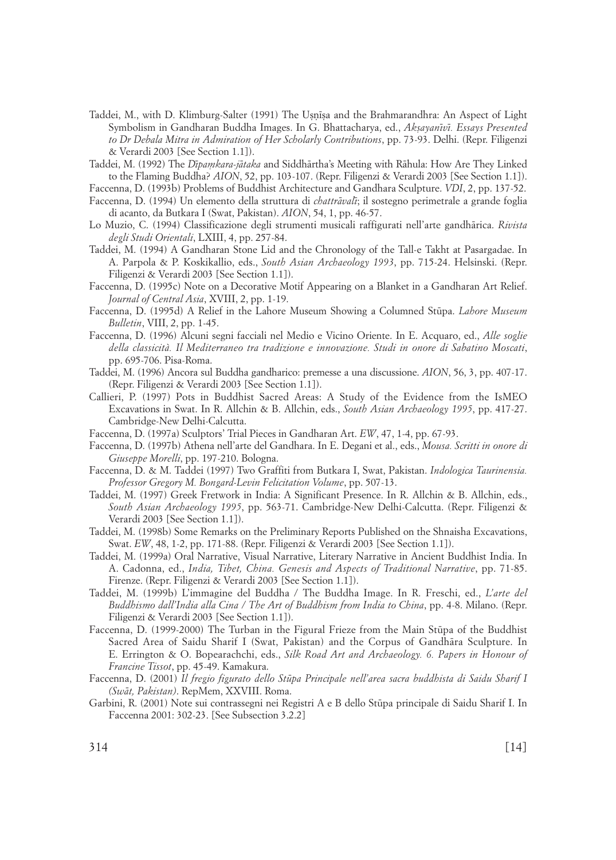- Taddei, M., with D. Klimburg-Salter (1991) The Usnīsa and the Brahmarandhra: An Aspect of Light Symbolism in Gandharan Buddha Images. In G. Bhattacharya, ed., *Akßayan¤v¤. Essays Presented to Dr Debala Mitra in Admiration of Her Scholarly Contributions*, pp. 73-93. Delhi. (Repr. Filigenzi & Verardi 2003 [See Section 1.1]).
- Taddei, M. (1992) The *D¤paækara-jåtaka* and Siddhårtha's Meeting with Råhula: How Are They Linked to the Flaming Buddha? *AION*, 52, pp. 103-107. (Repr. Filigenzi & Verardi 2003 [See Section 1.1]).

Faccenna, D. (1993b) Problems of Buddhist Architecture and Gandhara Sculpture. *VDI*, 2, pp. 137-52.

- Faccenna, D. (1994) Un elemento della struttura di *chattråval¤*; il sostegno perimetrale a grande foglia di acanto, da Butkara I (Swat, Pakistan). *AION*, 54, 1, pp. 46-57.
- Lo Muzio, C. (1994) Classificazione degli strumenti musicali raffigurati nell'arte gandhårica. *Rivista degli Studi Orientali*, LXIII, 4, pp. 257-84.
- Taddei, M. (1994) A Gandharan Stone Lid and the Chronology of the Tall-e Takht at Pasargadae. In A. Parpola & P. Koskikallio, eds., *South Asian Archaeology 1993*, pp. 715-24. Helsinski. (Repr. Filigenzi & Verardi 2003 [See Section 1.1]).
- Faccenna, D. (1995c) Note on a Decorative Motif Appearing on a Blanket in a Gandharan Art Relief. *Journal of Central Asia*, XVIII, 2, pp. 1-19.
- Faccenna, D. (1995d) A Relief in the Lahore Museum Showing a Columned St∑pa. *Lahore Museum Bulletin*, VIII, 2, pp. 1-45.
- Faccenna, D. (1996) Alcuni segni facciali nel Medio e Vicino Oriente. In E. Acquaro, ed., *Alle soglie della classicità. Il Mediterraneo tra tradizione e innovazione. Studi in onore di Sabatino Moscati*, pp. 695-706. Pisa-Roma.
- Taddei, M. (1996) Ancora sul Buddha gandharico: premesse a una discussione. *AION*, 56, 3, pp. 407-17. (Repr. Filigenzi & Verardi 2003 [See Section 1.1]).
- Callieri, P. (1997) Pots in Buddhist Sacred Areas: A Study of the Evidence from the IsMEO Excavations in Swat. In R. Allchin & B. Allchin, eds., *South Asian Archaeology 1995*, pp. 417-27. Cambridge-New Delhi-Calcutta.
- Faccenna, D. (1997a) Sculptors' Trial Pieces in Gandharan Art. *EW*, 47, 1-4, pp. 67-93.
- Faccenna, D. (1997b) Athena nell'arte del Gandhara. In E. Degani et al., eds., *Mousa. Scritti in onore di Giuseppe Morelli*, pp. 197-210. Bologna.
- Faccenna, D. & M. Taddei (1997) Two Graffiti from Butkara I, Swat, Pakistan. *Indologica Taurinensia. Professor Gregory M. Bongard-Levin Felicitation Volume*, pp. 507-13.
- Taddei, M. (1997) Greek Fretwork in India: A Significant Presence. In R. Allchin & B. Allchin, eds., *South Asian Archaeology 1995*, pp. 563-71. Cambridge-New Delhi-Calcutta. (Repr. Filigenzi & Verardi 2003 [See Section 1.1]).
- Taddei, M. (1998b) Some Remarks on the Preliminary Reports Published on the Shnaisha Excavations, Swat. *EW*, 48, 1-2, pp. 171-88. (Repr. Filigenzi & Verardi 2003 [See Section 1.1]).
- Taddei, M. (1999a) Oral Narrative, Visual Narrative, Literary Narrative in Ancient Buddhist India. In A. Cadonna, ed., *India, Tibet, China. Genesis and Aspects of Traditional Narrative*, pp. 71-85. Firenze. (Repr. Filigenzi & Verardi 2003 [See Section 1.1]).
- Taddei, M. (1999b) L'immagine del Buddha / The Buddha Image. In R. Freschi, ed., *L'arte del Buddhismo dall'India alla Cina / The Art of Buddhism from India to China*, pp. 4-8. Milano. (Repr. Filigenzi & Verardi 2003 [See Section 1.1]).
- Faccenna, D. (1999-2000) The Turban in the Figural Frieze from the Main Stūpa of the Buddhist Sacred Area of Saidu Sharif I (Swat, Pakistan) and the Corpus of Gandhåra Sculpture. In E. Errington & O. Bopearachchi, eds., *Silk Road Art and Archaeology. 6. Papers in Honour of Francine Tissot*, pp. 45-49. Kamakura.
- Faccenna, D. (2001) *Il fregio figurato dello St∑pa Principale nell'area sacra buddhista di Saidu Sharif I (Swåt, Pakistan)*. RepMem, XXVIII. Roma.
- Garbini, R. (2001) Note sui contrassegni nei Registri A e B dello Stūpa principale di Saidu Sharif I. In Faccenna 2001: 302-23. [See Subsection 3.2.2]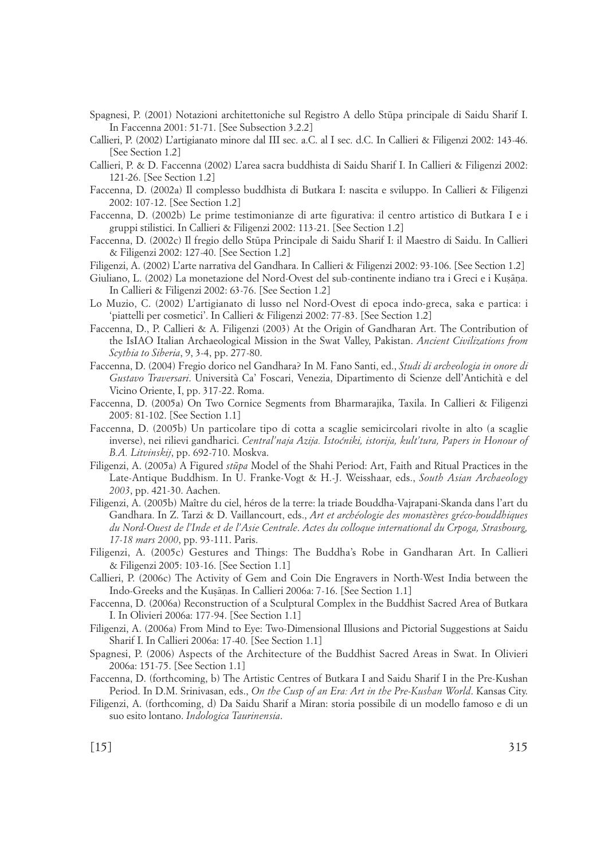- Spagnesi, P. (2001) Notazioni architettoniche sul Registro A dello St∑pa principale di Saidu Sharif I. In Faccenna 2001: 51-71. [See Subsection 3.2.2]
- Callieri, P. (2002) L'artigianato minore dal III sec. a.C. al I sec. d.C. In Callieri & Filigenzi 2002: 143-46. [See Section 1.2]
- Callieri, P. & D. Faccenna (2002) L'area sacra buddhista di Saidu Sharif I. In Callieri & Filigenzi 2002: 121-26. [See Section 1.2]
- Faccenna, D. (2002a) Il complesso buddhista di Butkara I: nascita e sviluppo. In Callieri & Filigenzi 2002: 107-12. [See Section 1.2]
- Faccenna, D. (2002b) Le prime testimonianze di arte figurativa: il centro artistico di Butkara I e i gruppi stilistici. In Callieri & Filigenzi 2002: 113-21. [See Section 1.2]
- Faccenna, D. (2002c) Il fregio dello Stūpa Principale di Saidu Sharif I: il Maestro di Saidu. In Callieri & Filigenzi 2002: 127-40. [See Section 1.2]
- Filigenzi, A. (2002) L'arte narrativa del Gandhara. In Callieri & Filigenzi 2002: 93-106. [See Section 1.2]
- Giuliano, L. (2002) La monetazione del Nord-Ovest del sub-continente indiano tra i Greci e i Kusāna. In Callieri & Filigenzi 2002: 63-76. [See Section 1.2]
- Lo Muzio, C. (2002) L'artigianato di lusso nel Nord-Ovest di epoca indo-greca, saka e partica: i 'piattelli per cosmetici'. In Callieri & Filigenzi 2002: 77-83. [See Section 1.2]
- Faccenna, D., P. Callieri & A. Filigenzi (2003) At the Origin of Gandharan Art. The Contribution of the IsIAO Italian Archaeological Mission in the Swat Valley, Pakistan. *Ancient Civilizations from Scythia to Siberia*, 9, 3-4, pp. 277-80.
- Faccenna, D. (2004) Fregio dorico nel Gandhara? In M. Fano Santi, ed., *Studi di archeologia in onore di Gustavo Traversari*. Università Ca' Foscari, Venezia, Dipartimento di Scienze dell'Antichità e del Vicino Oriente, I, pp. 317-22. Roma.
- Faccenna, D. (2005a) On Two Cornice Segments from Bharmarajika, Taxila. In Callieri & Filigenzi 2005: 81-102. [See Section 1.1]
- Faccenna, D. (2005b) Un particolare tipo di cotta a scaglie semicircolari rivolte in alto (a scaglie inverse), nei rilievi gandharici. *Central'naja Azija. Istoćniki, istorija, kult'tura, Papers in Honour of B.A. Litvinskij*, pp. 692-710. Moskva.
- Filigenzi, A. (2005a) A Figured *st∑pa* Model of the Shahi Period: Art, Faith and Ritual Practices in the Late-Antique Buddhism. In U. Franke-Vogt & H.-J. Weisshaar, eds., *South Asian Archaeology 2003*, pp. 421-30. Aachen.
- Filigenzi, A. (2005b) Maître du ciel, héros de la terre: la triade Bouddha-Vajrapani-Skanda dans l'art du Gandhara. In Z. Tarzi & D. Vaillancourt, eds., *Art et archéologie des monastères gréco-bouddhiques du Nord-Ouest de l'Inde et de l'Asie Centrale*. *Actes du colloque international du Crpoga, Strasbourg, 17-18 mars 2000*, pp. 93-111. Paris.
- Filigenzi, A. (2005c) Gestures and Things: The Buddha's Robe in Gandharan Art. In Callieri & Filigenzi 2005: 103-16. [See Section 1.1]
- Callieri, P. (2006c) The Activity of Gem and Coin Die Engravers in North-West India between the Indo-Greeks and the Kuṣāṇas. In Callieri 2006a: 7-16. [See Section 1.1]
- Faccenna, D. (2006a) Reconstruction of a Sculptural Complex in the Buddhist Sacred Area of Butkara I. In Olivieri 2006a: 177-94. [See Section 1.1]
- Filigenzi, A. (2006a) From Mind to Eye: Two-Dimensional Illusions and Pictorial Suggestions at Saidu Sharif I. In Callieri 2006a: 17-40. [See Section 1.1]
- Spagnesi, P. (2006) Aspects of the Architecture of the Buddhist Sacred Areas in Swat. In Olivieri 2006a: 151-75. [See Section 1.1]
- Faccenna, D. (forthcoming, b) The Artistic Centres of Butkara I and Saidu Sharif I in the Pre-Kushan Period. In D.M. Srinivasan, eds., *On the Cusp of an Era: Art in the Pre-Kushan World*. Kansas City.
- Filigenzi, A. (forthcoming, d) Da Saidu Sharif a Miran: storia possibile di un modello famoso e di un suo esito lontano. *Indologica Taurinensia*.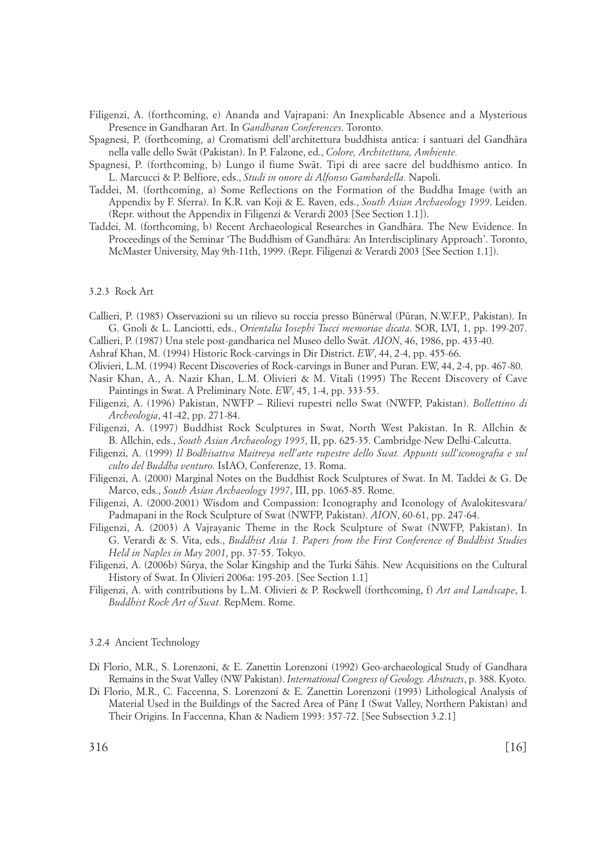Filigenzi, A. (forthcoming, e) Ananda and Vajrapani: An Inexplicable Absence and a Mysterious Presence in Gandharan Art. In *Gandharan Conferences*. Toronto.

Spagnesi, P. (forthcoming, a) Cromatismi dell'architettura buddhista antica: i santuari del Gandhåra nella valle dello Swåt (Pakistan). In P. Falzone, ed., *Colore, Architettura, Ambiente.*

Spagnesi, P. (forthcoming, b) Lungo il fiume Swåt. Tipi di aree sacre del buddhismo antico. In L. Marcucci & P. Belfiore, eds., *Studi in onore di Alfonso Gambardella.* Napoli.

- Taddei, M. (forthcoming, a) Some Reflections on the Formation of the Buddha Image (with an Appendix by F. Sferra). In K.R. van Koji & E. Raven, eds., *South Asian Archaeology 1999*. Leiden. (Repr. without the Appendix in Filigenzi & Verardi 2003 [See Section 1.1]).
- Taddei, M. (forthcoming, b) Recent Archaeological Researches in Gandhåra. The New Evidence. In Proceedings of the Seminar 'The Buddhism of Gandhåra: An Interdisciplinary Approach'. Toronto, McMaster University, May 9th-11th, 1999. (Repr. Filigenzi & Verardi 2003 [See Section 1.1]).

#### 3.2.3 Rock Art

- Callieri, P. (1985) Osservazioni su un rilievo su roccia presso Būnērwal (Pūran, N.W.F.P., Pakistan). In G. Gnoli & L. Lanciotti, eds., *Orientalia Iosephi Tucci memoriae dicata*. SOR, LVI, 1, pp. 199-207.
- Callieri, P. (1987) Una stele post-gandharica nel Museo dello Swåt. *AION*, 46, 1986, pp. 433-40.
- Ashraf Khan, M. (1994) Historic Rock-carvings in Dir District. *EW*, 44, 2-4, pp. 455-66.
- Olivieri, L.M. (1994) Recent Discoveries of Rock-carvings in Buner and Puran. EW, 44, 2-4, pp. 467-80.
- Nasir Khan, A., A. Nazir Khan, L.M. Olivieri & M. Vitali (1995) The Recent Discovery of Cave Paintings in Swat. A Preliminary Note. *EW*, 45, 1-4, pp. 333-53.
- Filigenzi, A. (1996) Pakistan, NWFP Rilievi rupestri nello Swat (NWFP, Pakistan). *Bollettino di Archeologia*, 41-42, pp. 271-84.
- Filigenzi, A. (1997) Buddhist Rock Sculptures in Swat, North West Pakistan. In R. Allchin & B. Allchin, eds., *South Asian Archaeology 1995*, II, pp. 625-35. Cambridge-New Delhi-Calcutta.
- Filigenzi, A. (1999) *Il Bodhisattva Maitreya nell'arte rupestre dello Swat. Appunti sull'iconografia e sul culto del Buddha venturo.* IsIAO, Conferenze, 13. Roma.
- Filigenzi, A. (2000) Marginal Notes on the Buddhist Rock Sculptures of Swat. In M. Taddei & G. De Marco, eds., *South Asian Archaeology 1997*, III, pp. 1065-85. Rome.
- Filigenzi, A. (2000-2001) Wisdom and Compassion: Iconography and Iconology of Avalokitesvara/ Padmapani in the Rock Sculpture of Swat (NWFP, Pakistan). *AION*, 60-61, pp. 247-64.
- Filigenzi, A. (2003) A Vajrayanic Theme in the Rock Sculpture of Swat (NWFP, Pakistan). In G. Verardi & S. Vita, eds., *Buddhist Asia 1. Papers from the First Conference of Buddhist Studies Held in Naples in May 2001*, pp. 37-55. Tokyo.
- Filigenzi, A. (2006b) Sūrya, the Solar Kingship and the Turki Śāhis. New Acquisitions on the Cultural History of Swat. In Olivieri 2006a: 195-203. [See Section 1.1]
- Filigenzi, A. with contributions by L.M. Olivieri & P. Rockwell (forthcoming, f) *Art and Landscape*, I. *Buddhist Rock Art of Swat.* RepMem. Rome.

# 3.2.4 Ancient Technology

- Di Florio, M.R., S. Lorenzoni, & E. Zanettin Lorenzoni (1992) Geo-archaeological Study of Gandhara Remains in the Swat Valley (NW Pakistan). *International Congress of Geology. Abstracts*, p. 388. Kyoto.
- Di Florio, M.R., C. Faccenna, S. Lorenzoni & E. Zanettin Lorenzoni (1993) Lithological Analysis of Material Used in the Buildings of the Sacred Area of Pānr I (Swat Valley, Northern Pakistan) and Their Origins. In Faccenna, Khan & Nadiem 1993: 357-72. [See Subsection 3.2.1]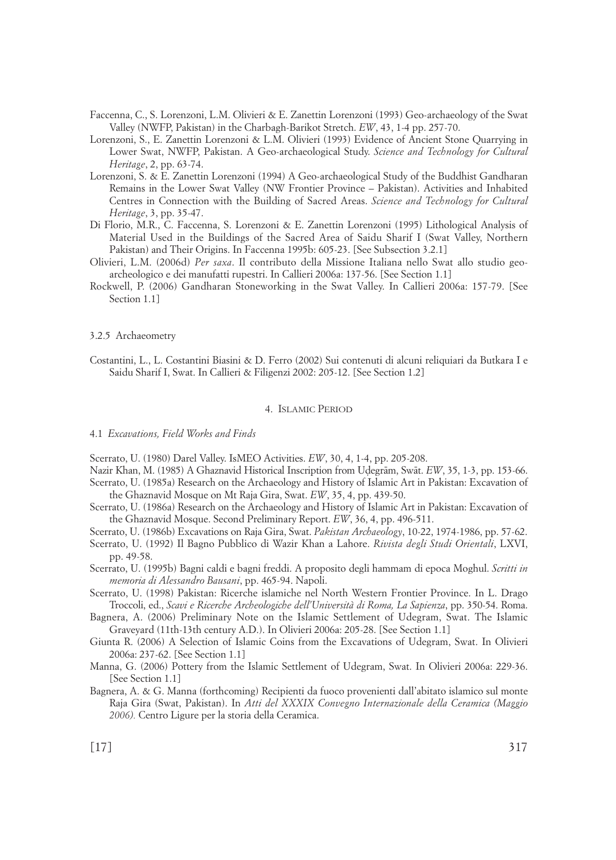- Faccenna, C., S. Lorenzoni, L.M. Olivieri & E. Zanettin Lorenzoni (1993) Geo-archaeology of the Swat Valley (NWFP, Pakistan) in the Charbagh-Barikot Stretch. *EW*, 43, 1-4 pp. 257-70.
- Lorenzoni, S., E. Zanettin Lorenzoni & L.M. Olivieri (1993) Evidence of Ancient Stone Quarrying in Lower Swat, NWFP, Pakistan. A Geo-archaeological Study. *Science and Technology for Cultural Heritage*, 2, pp. 63-74.
- Lorenzoni, S. & E. Zanettin Lorenzoni (1994) A Geo-archaeological Study of the Buddhist Gandharan Remains in the Lower Swat Valley (NW Frontier Province – Pakistan). Activities and Inhabited Centres in Connection with the Building of Sacred Areas. *Science and Technology for Cultural Heritage*, 3, pp. 35-47.
- Di Florio, M.R., C. Faccenna, S. Lorenzoni & E. Zanettin Lorenzoni (1995) Lithological Analysis of Material Used in the Buildings of the Sacred Area of Saidu Sharif I (Swat Valley, Northern Pakistan) and Their Origins. In Faccenna 1995b: 605-23. [See Subsection 3.2.1]
- Olivieri, L.M. (2006d) *Per saxa*. Il contributo della Missione Italiana nello Swat allo studio geoarcheologico e dei manufatti rupestri. In Callieri 2006a: 137-56. [See Section 1.1]
- Rockwell, P. (2006) Gandharan Stoneworking in the Swat Valley. In Callieri 2006a: 157-79. [See Section 1.1]

#### 3.2.5 Archaeometry

Costantini, L., L. Costantini Biasini & D. Ferro (2002) Sui contenuti di alcuni reliquiari da Butkara I e Saidu Sharif I, Swat. In Callieri & Filigenzi 2002: 205-12. [See Section 1.2]

#### 4. ISLAMIC PERIOD

## 4.1 *Excavations, Field Works and Finds*

Scerrato, U. (1980) Darel Valley. IsMEO Activities. *EW*, 30, 4, 1-4, pp. 205-208.

Nazir Khan, M. (1985) A Ghaznavid Historical Inscription from U∂egråm, Swåt. *EW*, 35, 1-3, pp. 153-66. Scerrato, U. (1985a) Research on the Archaeology and History of Islamic Art in Pakistan: Excavation of

- the Ghaznavid Mosque on Mt Raja Gira, Swat. *EW*, 35, 4, pp. 439-50. Scerrato, U. (1986a) Research on the Archaeology and History of Islamic Art in Pakistan: Excavation of
- the Ghaznavid Mosque. Second Preliminary Report. *EW*, 36, 4, pp. 496-511.

Scerrato, U. (1986b) Excavations on Raja Gira, Swat. *Pakistan Archaeology*, 10-22, 1974-1986, pp. 57-62.

- Scerrato, U. (1992) Il Bagno Pubblico di Wazir Khan a Lahore. *Rivista degli Studi Orientali*, LXVI, pp. 49-58.
- Scerrato, U. (1995b) Bagni caldi e bagni freddi. A proposito degli hammam di epoca Moghul. *Scritti in memoria di Alessandro Bausani*, pp. 465-94. Napoli.
- Scerrato, U. (1998) Pakistan: Ricerche islamiche nel North Western Frontier Province. In L. Drago Troccoli, ed., *Scavi e Ricerche Archeologiche dell'Università di Roma, La Sapienza*, pp. 350-54. Roma.
- Bagnera, A. (2006) Preliminary Note on the Islamic Settlement of Udegram, Swat. The Islamic Graveyard (11th-13th century A.D.). In Olivieri 2006a: 205-28. [See Section 1.1]

Giunta R. (2006) A Selection of Islamic Coins from the Excavations of Udegram, Swat. In Olivieri 2006a: 237-62. [See Section 1.1]

- Manna, G. (2006) Pottery from the Islamic Settlement of Udegram, Swat. In Olivieri 2006a: 229-36. [See Section 1.1]
- Bagnera, A. & G. Manna (forthcoming) Recipienti da fuoco provenienti dall'abitato islamico sul monte Raja Gira (Swat, Pakistan). In *Atti del XXXIX Convegno Internazionale della Ceramica (Maggio 2006).* Centro Ligure per la storia della Ceramica.